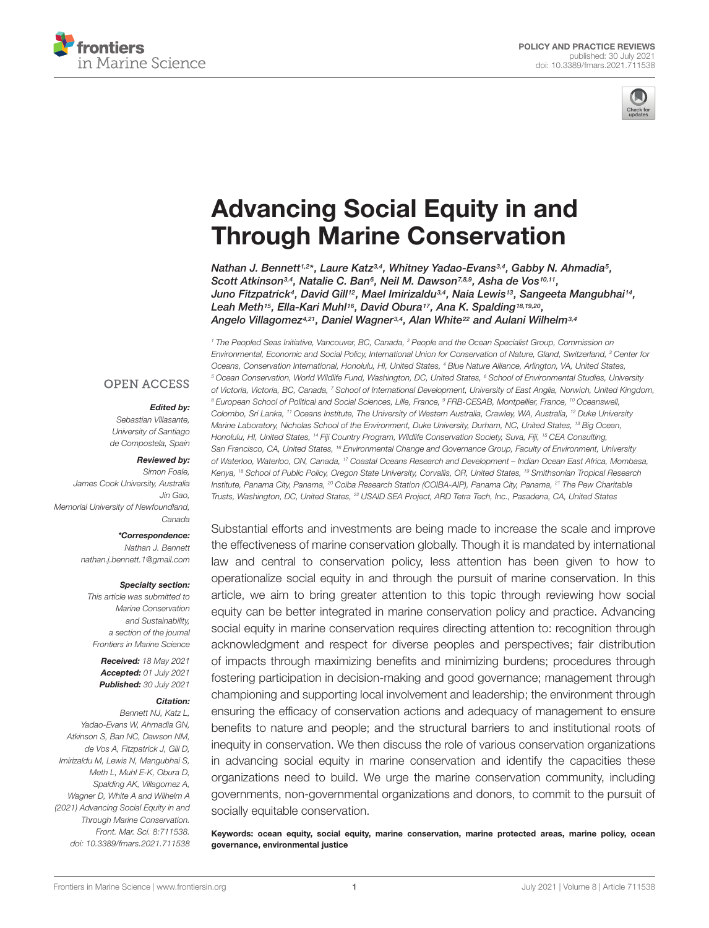



# [Advancing Social Equity in and](https://www.frontiersin.org/articles/10.3389/fmars.2021.711538/full) Through Marine Conservation

Nathan J. Bennett1,2\*, Laure Katz3,4, Whitney Yadao-Evans3,4, Gabby N. Ahmadia5, Scott Atkinson<sup>3,4</sup>, Natalie C. Ban<sup>6</sup>, Neil M. Dawson<sup>7,8,9</sup>, Asha de Vos<sup>10,11</sup>, Juno Fitzpatrick<sup>4</sup>, David Gill<sup>12</sup>, Mael Imirizaldu<sup>3,4</sup>, Naia Lewis<sup>13</sup>, Sangeeta Mangubhai<sup>14</sup>, Leah Meth15, Ella-Kari Muhl16, David Obura17, Ana K. Spalding18,19,20 , Angelo Villagomez<sup>4,21</sup>, Daniel Wagner<sup>3,4</sup>, Alan White<sup>22</sup> and Aulani Wilhelm<sup>3,4</sup>

<sup>1</sup> The Peopled Seas Initiative, Vancouver, BC, Canada, <sup>2</sup> People and the Ocean Specialist Group, Commission on Environmental, Economic and Social Policy, International Union for Conservation of Nature, Gland, Switzerland, <sup>3</sup> Center for Oceans, Conservation International, Honolulu, HI, United States, <sup>4</sup> Blue Nature Alliance, Arlington, VA, United States, <sup>5</sup> Ocean Conservation, World Wildlife Fund, Washington, DC, United States, <sup>6</sup> School of Environmental Studies, University of Victoria, Victoria, BC, Canada, <sup>7</sup> School of International Development, University of East Anglia, Norwich, United Kingdom, <sup>8</sup> European School of Political and Social Sciences, Lille, France, <sup>9</sup> FRB-CESAB, Montpellier, France, <sup>10</sup> Oceanswell, Colombo, Sri Lanka, <sup>11</sup> Oceans Institute, The University of Western Australia, Crawley, WA, Australia, <sup>12</sup> Duke University Marine Laboratory, Nicholas School of the Environment, Duke University, Durham, NC, United States, <sup>13</sup> Big Ocean, Honolulu, HI, United States, <sup>14</sup> Fiji Country Program, Wildlife Conservation Society, Suva, Fiji, <sup>15</sup> CEA Consulting, San Francisco, CA, United States, <sup>16</sup> Environmental Change and Governance Group, Faculty of Environment, University of Waterloo, Waterloo, ON, Canada, <sup>17</sup> Coastal Oceans Research and Development – Indian Ocean East Africa, Mombasa, Kenya, <sup>18</sup> School of Public Policy, Oregon State University, Corvallis, OR, United States, <sup>19</sup> Smithsonian Tropical Research Institute, Panama City, Panama, <sup>20</sup> Coiba Research Station (COIBA-AIP), Panama City, Panama, <sup>21</sup> The Pew Charitable Trusts, Washington, DC, United States, <sup>22</sup> USAID SEA Project, ARD Tetra Tech, Inc., Pasadena, CA, United States

Substantial efforts and investments are being made to increase the scale and improve the effectiveness of marine conservation globally. Though it is mandated by international law and central to conservation policy, less attention has been given to how to operationalize social equity in and through the pursuit of marine conservation. In this article, we aim to bring greater attention to this topic through reviewing how social equity can be better integrated in marine conservation policy and practice. Advancing social equity in marine conservation requires directing attention to: recognition through acknowledgment and respect for diverse peoples and perspectives; fair distribution of impacts through maximizing benefits and minimizing burdens; procedures through fostering participation in decision-making and good governance; management through championing and supporting local involvement and leadership; the environment through ensuring the efficacy of conservation actions and adequacy of management to ensure benefits to nature and people; and the structural barriers to and institutional roots of inequity in conservation. We then discuss the role of various conservation organizations in advancing social equity in marine conservation and identify the capacities these organizations need to build. We urge the marine conservation community, including governments, non-governmental organizations and donors, to commit to the pursuit of socially equitable conservation.

Keywords: ocean equity, social equity, marine conservation, marine protected areas, marine policy, ocean governance, environmental justice

#### **OPEN ACCESS**

#### Edited by:

Sebastian Villasante, University of Santiago de Compostela, Spain

#### Reviewed by:

Simon Foale, James Cook University, Australia Jin Gao, Memorial University of Newfoundland, Canada

#### \*Correspondence:

Nathan J. Bennett nathan.j.bennett.1@gmail.com

#### Specialty section:

This article was submitted to Marine Conservation and Sustainability, a section of the journal Frontiers in Marine Science

Received: 18 May 2021 Accepted: 01 July 2021 Published: 30 July 2021

#### Citation:

Bennett NJ, Katz L, Yadao-Evans W, Ahmadia GN, Atkinson S, Ban NC, Dawson NM, de Vos A, Fitzpatrick J, Gill D, Imirizaldu M, Lewis N, Mangubhai S, Meth L, Muhl E-K, Obura D, Spalding AK, Villagomez A, Wagner D, White A and Wilhelm A (2021) Advancing Social Equity in and Through Marine Conservation. Front. Mar. Sci. 8:711538. doi: [10.3389/fmars.2021.711538](https://doi.org/10.3389/fmars.2021.711538)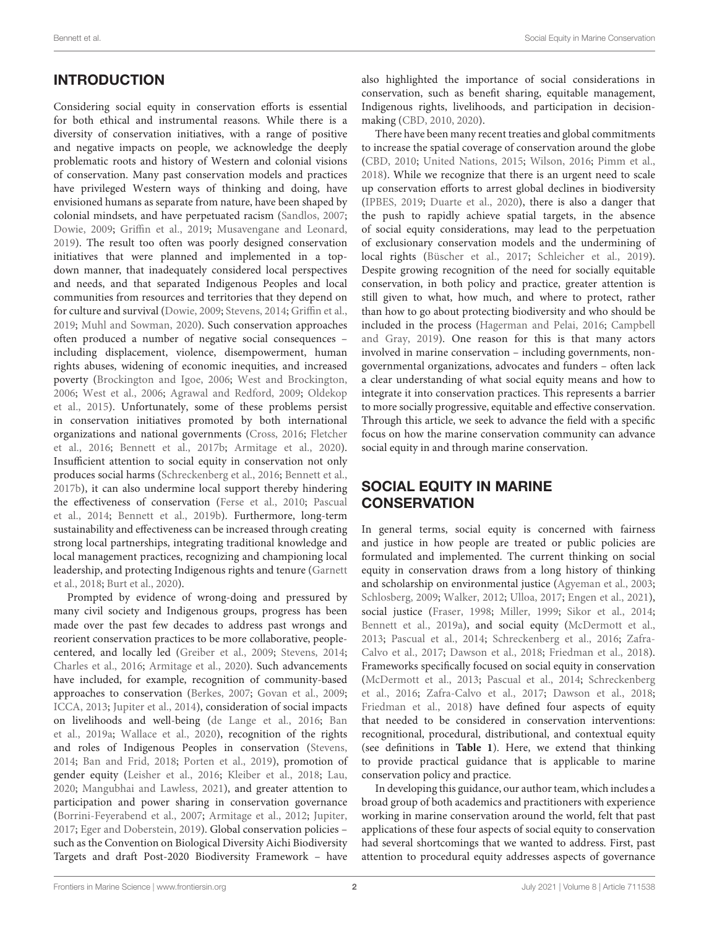# **INTRODUCTION**

Considering social equity in conservation efforts is essential for both ethical and instrumental reasons. While there is a diversity of conservation initiatives, with a range of positive and negative impacts on people, we acknowledge the deeply problematic roots and history of Western and colonial visions of conservation. Many past conservation models and practices have privileged Western ways of thinking and doing, have envisioned humans as separate from nature, have been shaped by colonial mindsets, and have perpetuated racism [\(Sandlos,](#page-11-0) [2007;](#page-11-0) [Dowie,](#page-10-0) [2009;](#page-10-0) [Griffin et al.,](#page-10-1) [2019;](#page-10-1) [Musavengane and Leonard,](#page-11-1) [2019\)](#page-11-1). The result too often was poorly designed conservation initiatives that were planned and implemented in a topdown manner, that inadequately considered local perspectives and needs, and that separated Indigenous Peoples and local communities from resources and territories that they depend on for culture and survival [\(Dowie,](#page-10-0) [2009;](#page-10-0) [Stevens,](#page-12-0) [2014;](#page-12-0) [Griffin et al.,](#page-10-1) [2019;](#page-10-1) [Muhl and Sowman,](#page-11-2) [2020\)](#page-11-2). Such conservation approaches often produced a number of negative social consequences – including displacement, violence, disempowerment, human rights abuses, widening of economic inequities, and increased poverty [\(Brockington and Igoe,](#page-9-0) [2006;](#page-9-0) [West and Brockington,](#page-12-1) [2006;](#page-12-1) [West et al.,](#page-12-2) [2006;](#page-12-2) [Agrawal and Redford,](#page-9-1) [2009;](#page-9-1) [Oldekop](#page-11-3) [et al.,](#page-11-3) [2015\)](#page-11-3). Unfortunately, some of these problems persist in conservation initiatives promoted by both international organizations and national governments [\(Cross,](#page-9-2) [2016;](#page-9-2) [Fletcher](#page-10-2) [et al.,](#page-10-2) [2016;](#page-10-2) [Bennett et al.,](#page-9-3) [2017b;](#page-9-3) [Armitage et al.,](#page-9-4) [2020\)](#page-9-4). Insufficient attention to social equity in conservation not only produces social harms [\(Schreckenberg et al.,](#page-11-4) [2016;](#page-11-4) [Bennett et al.,](#page-9-3) [2017b\)](#page-9-3), it can also undermine local support thereby hindering the effectiveness of conservation [\(Ferse et al.,](#page-10-3) [2010;](#page-10-3) [Pascual](#page-11-5) [et al.,](#page-11-5) [2014;](#page-11-5) [Bennett et al.,](#page-9-5) [2019b\)](#page-9-5). Furthermore, long-term sustainability and effectiveness can be increased through creating strong local partnerships, integrating traditional knowledge and local management practices, recognizing and championing local leadership, and protecting Indigenous rights and tenure [\(Garnett](#page-10-4) [et al.,](#page-10-4) [2018;](#page-10-4) [Burt et al.,](#page-9-6) [2020\)](#page-9-6).

Prompted by evidence of wrong-doing and pressured by many civil society and Indigenous groups, progress has been made over the past few decades to address past wrongs and reorient conservation practices to be more collaborative, peoplecentered, and locally led [\(Greiber et al.,](#page-10-5) [2009;](#page-10-5) [Stevens,](#page-12-0) [2014;](#page-12-0) [Charles et al.,](#page-9-7) [2016;](#page-9-7) [Armitage et al.,](#page-9-4) [2020\)](#page-9-4). Such advancements have included, for example, recognition of community-based approaches to conservation [\(Berkes,](#page-9-8) [2007;](#page-9-8) [Govan et al.,](#page-10-6) [2009;](#page-10-6) [ICCA,](#page-10-7) [2013;](#page-10-7) [Jupiter et al.,](#page-10-8) [2014\)](#page-10-8), consideration of social impacts on livelihoods and well-being [\(de Lange et al.,](#page-10-9) [2016;](#page-10-9) [Ban](#page-9-9) [et al.,](#page-9-9) [2019a;](#page-9-9) [Wallace et al.,](#page-12-3) [2020\)](#page-12-3), recognition of the rights and roles of Indigenous Peoples in conservation [\(Stevens,](#page-12-0) [2014;](#page-12-0) [Ban and Frid,](#page-9-10) [2018;](#page-9-10) [Porten et al.,](#page-11-6) [2019\)](#page-11-6), promotion of gender equity [\(Leisher et al.,](#page-11-7) [2016;](#page-11-7) [Kleiber et al.,](#page-11-8) [2018;](#page-11-8) [Lau,](#page-11-9) [2020;](#page-11-9) [Mangubhai and Lawless,](#page-11-10) [2021\)](#page-11-10), and greater attention to participation and power sharing in conservation governance [\(Borrini-Feyerabend et al.,](#page-9-11) [2007;](#page-9-11) [Armitage et al.,](#page-9-12) [2012;](#page-9-12) [Jupiter,](#page-10-10) [2017;](#page-10-10) [Eger and Doberstein,](#page-10-11) [2019\)](#page-10-11). Global conservation policies – such as the Convention on Biological Diversity Aichi Biodiversity Targets and draft Post-2020 Biodiversity Framework – have

also highlighted the importance of social considerations in conservation, such as benefit sharing, equitable management, Indigenous rights, livelihoods, and participation in decisionmaking [\(CBD,](#page-9-13) [2010,](#page-9-13) [2020\)](#page-9-14).

There have been many recent treaties and global commitments to increase the spatial coverage of conservation around the globe [\(CBD,](#page-9-13) [2010;](#page-9-13) [United Nations,](#page-12-4) [2015;](#page-12-4) [Wilson,](#page-12-5) [2016;](#page-12-5) [Pimm et al.,](#page-11-11) [2018\)](#page-11-11). While we recognize that there is an urgent need to scale up conservation efforts to arrest global declines in biodiversity [\(IPBES,](#page-10-12) [2019;](#page-10-12) [Duarte et al.,](#page-10-13) [2020\)](#page-10-13), there is also a danger that the push to rapidly achieve spatial targets, in the absence of social equity considerations, may lead to the perpetuation of exclusionary conservation models and the undermining of local rights [\(Büscher et al.,](#page-9-15) [2017;](#page-9-15) [Schleicher et al.,](#page-11-12) [2019\)](#page-11-12). Despite growing recognition of the need for socially equitable conservation, in both policy and practice, greater attention is still given to what, how much, and where to protect, rather than how to go about protecting biodiversity and who should be included in the process [\(Hagerman and Pelai,](#page-10-14) [2016;](#page-10-14) [Campbell](#page-9-16) [and Gray,](#page-9-16) [2019\)](#page-9-16). One reason for this is that many actors involved in marine conservation – including governments, nongovernmental organizations, advocates and funders – often lack a clear understanding of what social equity means and how to integrate it into conservation practices. This represents a barrier to more socially progressive, equitable and effective conservation. Through this article, we seek to advance the field with a specific focus on how the marine conservation community can advance social equity in and through marine conservation.

#### SOCIAL EQUITY IN MARINE **CONSERVATION**

In general terms, social equity is concerned with fairness and justice in how people are treated or public policies are formulated and implemented. The current thinking on social equity in conservation draws from a long history of thinking and scholarship on environmental justice [\(Agyeman et al.,](#page-9-17) [2003;](#page-9-17) [Schlosberg,](#page-11-13) [2009;](#page-11-13) [Walker,](#page-12-6) [2012;](#page-12-6) [Ulloa,](#page-12-7) [2017;](#page-12-7) [Engen et al.,](#page-10-15) [2021\)](#page-10-15), social justice [\(Fraser,](#page-10-16) [1998;](#page-10-16) [Miller,](#page-11-14) [1999;](#page-11-14) [Sikor et al.,](#page-11-15) [2014;](#page-11-15) [Bennett et al.,](#page-9-18) [2019a\)](#page-9-18), and social equity [\(McDermott et al.,](#page-11-16) [2013;](#page-11-16) [Pascual et al.,](#page-11-5) [2014;](#page-11-5) [Schreckenberg et al.,](#page-11-4) [2016;](#page-11-4) [Zafra-](#page-12-8)[Calvo et al.,](#page-12-8) [2017;](#page-12-8) [Dawson et al.,](#page-9-19) [2018;](#page-9-19) [Friedman et al.,](#page-10-17) [2018\)](#page-10-17). Frameworks specifically focused on social equity in conservation [\(McDermott et al.,](#page-11-16) [2013;](#page-11-16) [Pascual et al.,](#page-11-5) [2014;](#page-11-5) [Schreckenberg](#page-11-4) [et al.,](#page-11-4) [2016;](#page-11-4) [Zafra-Calvo et al.,](#page-12-8) [2017;](#page-12-8) [Dawson et al.,](#page-9-19) [2018;](#page-9-19) [Friedman et al.,](#page-10-17) [2018\)](#page-10-17) have defined four aspects of equity that needed to be considered in conservation interventions: recognitional, procedural, distributional, and contextual equity (see definitions in **[Table 1](#page-2-0)**). Here, we extend that thinking to provide practical guidance that is applicable to marine conservation policy and practice.

In developing this guidance, our author team, which includes a broad group of both academics and practitioners with experience working in marine conservation around the world, felt that past applications of these four aspects of social equity to conservation had several shortcomings that we wanted to address. First, past attention to procedural equity addresses aspects of governance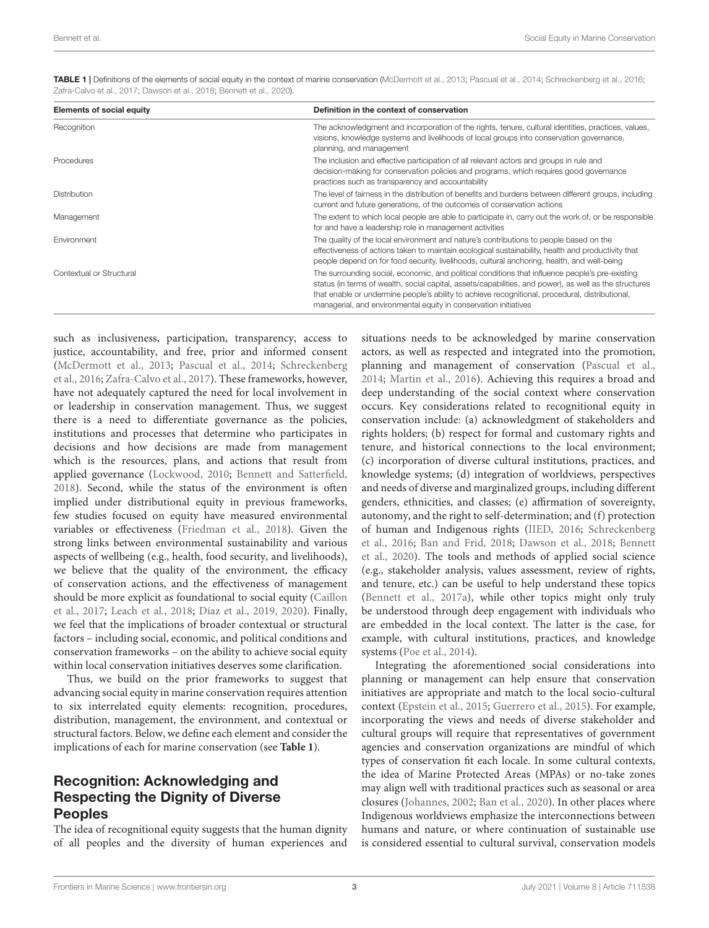| <b>Elements of social equity</b> | Definition in the context of conservation                                                                                                                                                                                                                                                                                                                                        |
|----------------------------------|----------------------------------------------------------------------------------------------------------------------------------------------------------------------------------------------------------------------------------------------------------------------------------------------------------------------------------------------------------------------------------|
| Recognition                      | The acknowledgment and incorporation of the rights, tenure, cultural identities, practices, values,<br>visions, knowledge systems and livelihoods of local groups into conservation governance,<br>planning, and management                                                                                                                                                      |
| Procedures                       | The inclusion and effective participation of all relevant actors and groups in rule and<br>decision-making for conservation policies and programs, which requires good governance<br>practices such as transparency and accountability                                                                                                                                           |
| Distribution                     | The level of fairness in the distribution of benefits and burdens between different groups, including<br>current and future generations, of the outcomes of conservation actions                                                                                                                                                                                                 |
| Management                       | The extent to which local people are able to participate in, carry out the work of, or be responsible<br>for and have a leadership role in management activities                                                                                                                                                                                                                 |
| Environment                      | The quality of the local environment and nature's contributions to people based on the<br>effectiveness of actions taken to maintain ecological sustainability, health and productivity that<br>people depend on for food security, livelihoods, cultural anchoring, health, and well-being                                                                                      |
| Contextual or Structural         | The surrounding social, economic, and political conditions that influence people's pre-existing<br>status (in terms of wealth, social capital, assets/capabilities, and power), as well as the structures<br>that enable or undermine people's ability to achieve recognitional, procedural, distributional,<br>managerial, and environmental equity in conservation initiatives |

<span id="page-2-0"></span>TABLE 1 | Definitions of the elements of social equity in the context of marine conservation [\(McDermott et al.,](#page-11-16) [2013;](#page-11-16) [Pascual et al.,](#page-11-5) [2014;](#page-11-5) [Schreckenberg et al.,](#page-11-4) [2016;](#page-11-4) [Zafra-Calvo et al.,](#page-12-8) [2017;](#page-12-8) [Dawson et al.,](#page-9-19) [2018;](#page-9-19) [Bennett et al.,](#page-9-20) [2020\)](#page-9-20).

such as inclusiveness, participation, transparency, access to justice, accountability, and free, prior and informed consent [\(McDermott et al.,](#page-11-16) [2013;](#page-11-16) [Pascual et al.,](#page-11-5) [2014;](#page-11-5) [Schreckenberg](#page-11-4) [et al.,](#page-11-4) [2016;](#page-11-4) [Zafra-Calvo et al.,](#page-12-8) [2017\)](#page-12-8). These frameworks, however, have not adequately captured the need for local involvement in or leadership in conservation management. Thus, we suggest there is a need to differentiate governance as the policies, institutions and processes that determine who participates in decisions and how decisions are made from management which is the resources, plans, and actions that result from applied governance [\(Lockwood,](#page-11-17) [2010;](#page-11-17) [Bennett and Satterfield,](#page-9-21) [2018\)](#page-9-21). Second, while the status of the environment is often implied under distributional equity in previous frameworks, few studies focused on equity have measured environmental variables or effectiveness [\(Friedman et al.,](#page-10-17) [2018\)](#page-10-17). Given the strong links between environmental sustainability and various aspects of wellbeing (e.g., health, food security, and livelihoods), we believe that the quality of the environment, the efficacy of conservation actions, and the effectiveness of management should be more explicit as foundational to social equity [\(Caillon](#page-9-22) [et al.,](#page-9-22) [2017;](#page-9-22) [Leach et al.,](#page-11-18) [2018;](#page-11-18) [Díaz et al.,](#page-10-18) [2019,](#page-10-18) [2020\)](#page-10-19). Finally, we feel that the implications of broader contextual or structural factors – including social, economic, and political conditions and conservation frameworks – on the ability to achieve social equity within local conservation initiatives deserves some clarification.

Thus, we build on the prior frameworks to suggest that advancing social equity in marine conservation requires attention to six interrelated equity elements: recognition, procedures, distribution, management, the environment, and contextual or structural factors. Below, we define each element and consider the implications of each for marine conservation (see **[Table 1](#page-2-0)**).

#### Recognition: Acknowledging and Respecting the Dignity of Diverse Peoples

The idea of recognitional equity suggests that the human dignity of all peoples and the diversity of human experiences and situations needs to be acknowledged by marine conservation actors, as well as respected and integrated into the promotion, planning and management of conservation [\(Pascual et al.,](#page-11-5) [2014;](#page-11-5) [Martin et al.,](#page-11-19) [2016\)](#page-11-19). Achieving this requires a broad and deep understanding of the social context where conservation occurs. Key considerations related to recognitional equity in conservation include: (a) acknowledgment of stakeholders and rights holders; (b) respect for formal and customary rights and tenure, and historical connections to the local environment; (c) incorporation of diverse cultural institutions, practices, and knowledge systems; (d) integration of worldviews, perspectives and needs of diverse and marginalized groups, including different genders, ethnicities, and classes; (e) affirmation of sovereignty, autonomy, and the right to self-determination; and (f) protection of human and Indigenous rights [\(IIED,](#page-10-20) [2016;](#page-10-20) [Schreckenberg](#page-11-4) [et al.,](#page-11-4) [2016;](#page-11-4) [Ban and Frid,](#page-9-10) [2018;](#page-9-10) [Dawson et al.,](#page-9-19) [2018;](#page-9-19) [Bennett](#page-9-20) [et al.,](#page-9-20) [2020\)](#page-9-20). The tools and methods of applied social science (e.g., stakeholder analysis, values assessment, review of rights, and tenure, etc.) can be useful to help understand these topics [\(Bennett et al.,](#page-9-23) [2017a\)](#page-9-23), while other topics might only truly be understood through deep engagement with individuals who are embedded in the local context. The latter is the case, for example, with cultural institutions, practices, and knowledge systems [\(Poe et al.,](#page-11-20) [2014\)](#page-11-20).

Integrating the aforementioned social considerations into planning or management can help ensure that conservation initiatives are appropriate and match to the local socio-cultural context [\(Epstein et al.,](#page-10-21) [2015;](#page-10-21) [Guerrero et al.,](#page-10-22) [2015\)](#page-10-22). For example, incorporating the views and needs of diverse stakeholder and cultural groups will require that representatives of government agencies and conservation organizations are mindful of which types of conservation fit each locale. In some cultural contexts, the idea of Marine Protected Areas (MPAs) or no-take zones may align well with traditional practices such as seasonal or area closures [\(Johannes,](#page-10-23) [2002;](#page-10-23) [Ban et al., 2020\)](#page-9-24). In other places where Indigenous worldviews emphasize the interconnections between humans and nature, or where continuation of sustainable use is considered essential to cultural survival, conservation models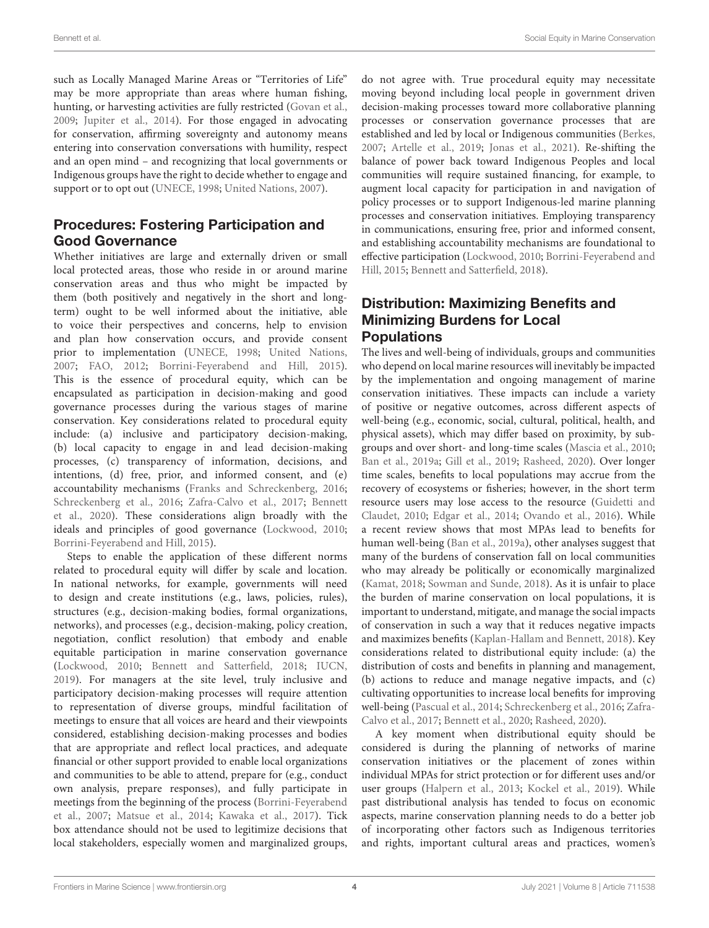such as Locally Managed Marine Areas or "Territories of Life" may be more appropriate than areas where human fishing, hunting, or harvesting activities are fully restricted [\(Govan et al.,](#page-10-6) [2009;](#page-10-6) [Jupiter et al.,](#page-10-8) [2014\)](#page-10-8). For those engaged in advocating for conservation, affirming sovereignty and autonomy means entering into conservation conversations with humility, respect and an open mind – and recognizing that local governments or Indigenous groups have the right to decide whether to engage and support or to opt out [\(UNECE,](#page-12-9) [1998;](#page-12-9) [United Nations,](#page-12-10) [2007\)](#page-12-10).

### Procedures: Fostering Participation and Good Governance

Whether initiatives are large and externally driven or small local protected areas, those who reside in or around marine conservation areas and thus who might be impacted by them (both positively and negatively in the short and longterm) ought to be well informed about the initiative, able to voice their perspectives and concerns, help to envision and plan how conservation occurs, and provide consent prior to implementation [\(UNECE,](#page-12-9) [1998;](#page-12-9) [United Nations,](#page-12-10) [2007;](#page-12-10) [FAO,](#page-10-24) [2012;](#page-10-24) [Borrini-Feyerabend and Hill,](#page-9-25) [2015\)](#page-9-25). This is the essence of procedural equity, which can be encapsulated as participation in decision-making and good governance processes during the various stages of marine conservation. Key considerations related to procedural equity include: (a) inclusive and participatory decision-making, (b) local capacity to engage in and lead decision-making processes, (c) transparency of information, decisions, and intentions, (d) free, prior, and informed consent, and (e) accountability mechanisms [\(Franks and Schreckenberg,](#page-10-25) [2016;](#page-10-25) [Schreckenberg et al.,](#page-11-4) [2016;](#page-11-4) [Zafra-Calvo et al.,](#page-12-8) [2017;](#page-12-8) [Bennett](#page-9-20) [et al.,](#page-9-20) [2020\)](#page-9-20). These considerations align broadly with the ideals and principles of good governance [\(Lockwood,](#page-11-17) [2010;](#page-11-17) [Borrini-Feyerabend and Hill,](#page-9-25) [2015\)](#page-9-25).

Steps to enable the application of these different norms related to procedural equity will differ by scale and location. In national networks, for example, governments will need to design and create institutions (e.g., laws, policies, rules), structures (e.g., decision-making bodies, formal organizations, networks), and processes (e.g., decision-making, policy creation, negotiation, conflict resolution) that embody and enable equitable participation in marine conservation governance [\(Lockwood,](#page-11-17) [2010;](#page-11-17) [Bennett and Satterfield,](#page-9-21) [2018;](#page-9-21) [IUCN,](#page-10-26) [2019\)](#page-10-26). For managers at the site level, truly inclusive and participatory decision-making processes will require attention to representation of diverse groups, mindful facilitation of meetings to ensure that all voices are heard and their viewpoints considered, establishing decision-making processes and bodies that are appropriate and reflect local practices, and adequate financial or other support provided to enable local organizations and communities to be able to attend, prepare for (e.g., conduct own analysis, prepare responses), and fully participate in meetings from the beginning of the process [\(Borrini-Feyerabend](#page-9-11) [et al.,](#page-9-11) [2007;](#page-9-11) [Matsue et al.,](#page-11-21) [2014;](#page-11-21) [Kawaka et al.,](#page-11-22) [2017\)](#page-11-22). Tick box attendance should not be used to legitimize decisions that local stakeholders, especially women and marginalized groups,

do not agree with. True procedural equity may necessitate moving beyond including local people in government driven decision-making processes toward more collaborative planning processes or conservation governance processes that are established and led by local or Indigenous communities [\(Berkes,](#page-9-8) [2007;](#page-9-8) [Artelle et al.,](#page-9-26) [2019;](#page-9-26) [Jonas et al.,](#page-10-27) [2021\)](#page-10-27). Re-shifting the balance of power back toward Indigenous Peoples and local communities will require sustained financing, for example, to augment local capacity for participation in and navigation of policy processes or to support Indigenous-led marine planning processes and conservation initiatives. Employing transparency in communications, ensuring free, prior and informed consent, and establishing accountability mechanisms are foundational to effective participation [\(Lockwood,](#page-11-17) [2010;](#page-11-17) [Borrini-Feyerabend and](#page-9-25) [Hill,](#page-9-25) [2015;](#page-9-25) [Bennett and Satterfield,](#page-9-21) [2018\)](#page-9-21).

## Distribution: Maximizing Benefits and Minimizing Burdens for Local **Populations**

The lives and well-being of individuals, groups and communities who depend on local marine resources will inevitably be impacted by the implementation and ongoing management of marine conservation initiatives. These impacts can include a variety of positive or negative outcomes, across different aspects of well-being (e.g., economic, social, cultural, political, health, and physical assets), which may differ based on proximity, by subgroups and over short- and long-time scales [\(Mascia et al.,](#page-11-23) [2010;](#page-11-23) [Ban et al.,](#page-9-9) [2019a;](#page-9-9) [Gill et al.,](#page-10-28) [2019;](#page-10-28) [Rasheed,](#page-11-24) [2020\)](#page-11-24). Over longer time scales, benefits to local populations may accrue from the recovery of ecosystems or fisheries; however, in the short term resource users may lose access to the resource [\(Guidetti and](#page-10-29) [Claudet,](#page-10-29) [2010;](#page-10-29) [Edgar et al.,](#page-10-30) [2014;](#page-10-30) [Ovando et al.,](#page-11-25) [2016\)](#page-11-25). While a recent review shows that most MPAs lead to benefits for human well-being [\(Ban et al.,](#page-9-9) [2019a\)](#page-9-9), other analyses suggest that many of the burdens of conservation fall on local communities who may already be politically or economically marginalized [\(Kamat,](#page-11-26) [2018;](#page-11-26) [Sowman and Sunde,](#page-12-11) [2018\)](#page-12-11). As it is unfair to place the burden of marine conservation on local populations, it is important to understand, mitigate, and manage the social impacts of conservation in such a way that it reduces negative impacts and maximizes benefits [\(Kaplan-Hallam and Bennett,](#page-11-27) [2018\)](#page-11-27). Key considerations related to distributional equity include: (a) the distribution of costs and benefits in planning and management, (b) actions to reduce and manage negative impacts, and (c) cultivating opportunities to increase local benefits for improving well-being [\(Pascual et al.,](#page-11-5) [2014;](#page-11-5) [Schreckenberg et al.,](#page-11-4) [2016;](#page-11-4) [Zafra-](#page-12-8)[Calvo et al.,](#page-12-8) [2017;](#page-12-8) [Bennett et al.,](#page-9-20) [2020;](#page-9-20) [Rasheed,](#page-11-24) [2020\)](#page-11-24).

A key moment when distributional equity should be considered is during the planning of networks of marine conservation initiatives or the placement of zones within individual MPAs for strict protection or for different uses and/or user groups [\(Halpern et al.,](#page-10-31) [2013;](#page-10-31) [Kockel et al.,](#page-11-28) [2019\)](#page-11-28). While past distributional analysis has tended to focus on economic aspects, marine conservation planning needs to do a better job of incorporating other factors such as Indigenous territories and rights, important cultural areas and practices, women's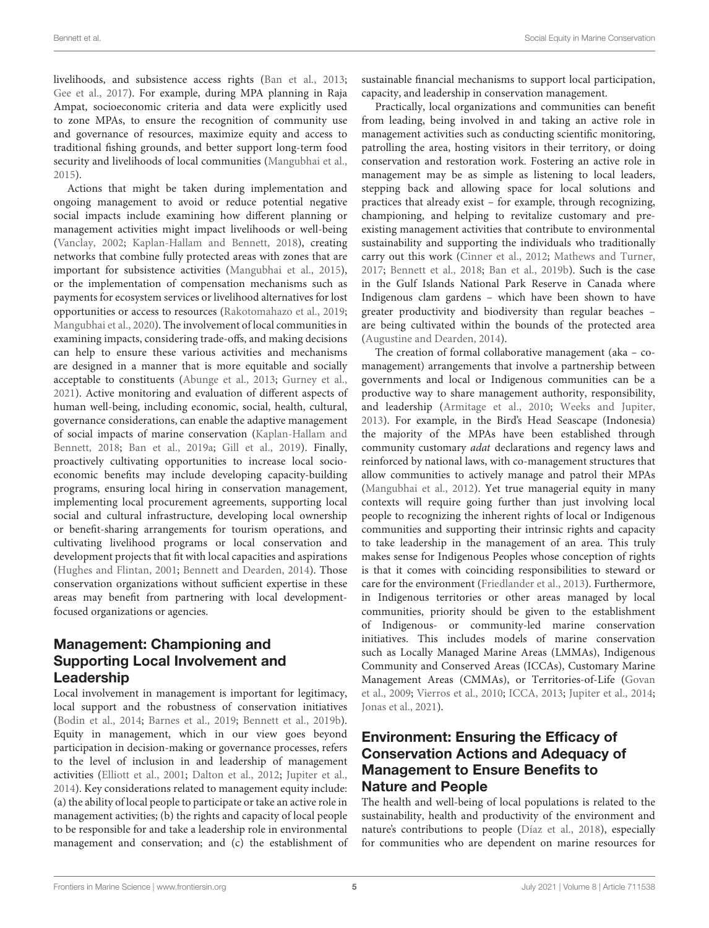livelihoods, and subsistence access rights [\(Ban et al.,](#page-9-27) [2013;](#page-9-27) [Gee et al.,](#page-10-32) [2017\)](#page-10-32). For example, during MPA planning in Raja Ampat, socioeconomic criteria and data were explicitly used to zone MPAs, to ensure the recognition of community use and governance of resources, maximize equity and access to traditional fishing grounds, and better support long-term food security and livelihoods of local communities [\(Mangubhai et al.,](#page-11-29) [2015\)](#page-11-29).

Actions that might be taken during implementation and ongoing management to avoid or reduce potential negative social impacts include examining how different planning or management activities might impact livelihoods or well-being [\(Vanclay,](#page-12-12) [2002;](#page-12-12) [Kaplan-Hallam and Bennett,](#page-11-27) [2018\)](#page-11-27), creating networks that combine fully protected areas with zones that are important for subsistence activities [\(Mangubhai et al.,](#page-11-29) [2015\)](#page-11-29), or the implementation of compensation mechanisms such as payments for ecosystem services or livelihood alternatives for lost opportunities or access to resources [\(Rakotomahazo et al.,](#page-11-30) [2019;](#page-11-30) [Mangubhai et al.,](#page-11-31) [2020\)](#page-11-31). The involvement of local communities in examining impacts, considering trade-offs, and making decisions can help to ensure these various activities and mechanisms are designed in a manner that is more equitable and socially acceptable to constituents [\(Abunge et al.,](#page-9-28) [2013;](#page-9-28) [Gurney et al.,](#page-10-33) [2021\)](#page-10-33). Active monitoring and evaluation of different aspects of human well-being, including economic, social, health, cultural, governance considerations, can enable the adaptive management of social impacts of marine conservation [\(Kaplan-Hallam and](#page-11-27) [Bennett,](#page-11-27) [2018;](#page-11-27) [Ban et al.,](#page-9-9) [2019a;](#page-9-9) [Gill et al.,](#page-10-28) [2019\)](#page-10-28). Finally, proactively cultivating opportunities to increase local socioeconomic benefits may include developing capacity-building programs, ensuring local hiring in conservation management, implementing local procurement agreements, supporting local social and cultural infrastructure, developing local ownership or benefit-sharing arrangements for tourism operations, and cultivating livelihood programs or local conservation and development projects that fit with local capacities and aspirations [\(Hughes and Flintan,](#page-10-34) [2001;](#page-10-34) [Bennett and Dearden,](#page-9-29) [2014\)](#page-9-29). Those conservation organizations without sufficient expertise in these areas may benefit from partnering with local developmentfocused organizations or agencies.

## Management: Championing and Supporting Local Involvement and Leadership

Local involvement in management is important for legitimacy, local support and the robustness of conservation initiatives [\(Bodin et al.,](#page-9-30) [2014;](#page-9-30) [Barnes et al.,](#page-9-31) [2019;](#page-9-31) [Bennett et al.,](#page-9-5) [2019b\)](#page-9-5). Equity in management, which in our view goes beyond participation in decision-making or governance processes, refers to the level of inclusion in and leadership of management activities [\(Elliott et al.,](#page-10-35) [2001;](#page-10-35) [Dalton et al.,](#page-9-32) [2012;](#page-9-32) [Jupiter et al.,](#page-10-8) [2014\)](#page-10-8). Key considerations related to management equity include: (a) the ability of local people to participate or take an active role in management activities; (b) the rights and capacity of local people to be responsible for and take a leadership role in environmental management and conservation; and (c) the establishment of sustainable financial mechanisms to support local participation, capacity, and leadership in conservation management.

Practically, local organizations and communities can benefit from leading, being involved in and taking an active role in management activities such as conducting scientific monitoring, patrolling the area, hosting visitors in their territory, or doing conservation and restoration work. Fostering an active role in management may be as simple as listening to local leaders, stepping back and allowing space for local solutions and practices that already exist – for example, through recognizing, championing, and helping to revitalize customary and preexisting management activities that contribute to environmental sustainability and supporting the individuals who traditionally carry out this work [\(Cinner et al.,](#page-9-33) [2012;](#page-9-33) [Mathews and Turner,](#page-11-32) [2017;](#page-11-32) [Bennett et al.,](#page-9-34) [2018;](#page-9-34) [Ban et al.,](#page-9-35) [2019b\)](#page-9-35). Such is the case in the Gulf Islands National Park Reserve in Canada where Indigenous clam gardens – which have been shown to have greater productivity and biodiversity than regular beaches – are being cultivated within the bounds of the protected area [\(Augustine and Dearden,](#page-9-36) [2014\)](#page-9-36).

The creation of formal collaborative management (aka – comanagement) arrangements that involve a partnership between governments and local or Indigenous communities can be a productive way to share management authority, responsibility, and leadership [\(Armitage et al.,](#page-9-37) [2010;](#page-9-37) [Weeks and Jupiter,](#page-12-13) [2013\)](#page-12-13). For example, in the Bird's Head Seascape (Indonesia) the majority of the MPAs have been established through community customary adat declarations and regency laws and reinforced by national laws, with co-management structures that allow communities to actively manage and patrol their MPAs [\(Mangubhai et al.,](#page-11-33) [2012\)](#page-11-33). Yet true managerial equity in many contexts will require going further than just involving local people to recognizing the inherent rights of local or Indigenous communities and supporting their intrinsic rights and capacity to take leadership in the management of an area. This truly makes sense for Indigenous Peoples whose conception of rights is that it comes with coinciding responsibilities to steward or care for the environment [\(Friedlander et al.,](#page-10-36) [2013\)](#page-10-36). Furthermore, in Indigenous territories or other areas managed by local communities, priority should be given to the establishment of Indigenous- or community-led marine conservation initiatives. This includes models of marine conservation such as Locally Managed Marine Areas (LMMAs), Indigenous Community and Conserved Areas (ICCAs), Customary Marine Management Areas (CMMAs), or Territories-of-Life [\(Govan](#page-10-6) [et al.,](#page-10-6) [2009;](#page-10-6) [Vierros et al.,](#page-12-14) [2010;](#page-12-14) [ICCA,](#page-10-7) [2013;](#page-10-7) [Jupiter et al.,](#page-10-8) [2014;](#page-10-8) [Jonas et al.,](#page-10-27) [2021\)](#page-10-27).

# Environment: Ensuring the Efficacy of Conservation Actions and Adequacy of Management to Ensure Benefits to Nature and People

The health and well-being of local populations is related to the sustainability, health and productivity of the environment and nature's contributions to people [\(Díaz et al.,](#page-10-37) [2018\)](#page-10-37), especially for communities who are dependent on marine resources for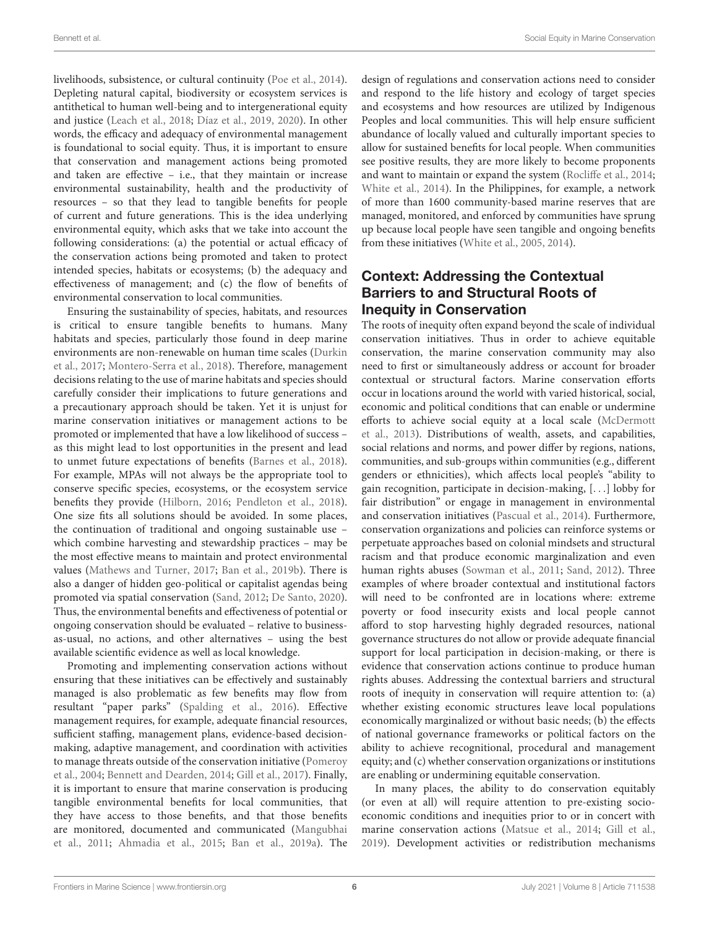livelihoods, subsistence, or cultural continuity [\(Poe et al.,](#page-11-20) [2014\)](#page-11-20). Depleting natural capital, biodiversity or ecosystem services is antithetical to human well-being and to intergenerational equity and justice [\(Leach et al.,](#page-11-18) [2018;](#page-11-18) [Díaz et al.,](#page-10-18) [2019,](#page-10-18) [2020\)](#page-10-19). In other words, the efficacy and adequacy of environmental management is foundational to social equity. Thus, it is important to ensure that conservation and management actions being promoted and taken are effective – i.e., that they maintain or increase environmental sustainability, health and the productivity of resources – so that they lead to tangible benefits for people of current and future generations. This is the idea underlying environmental equity, which asks that we take into account the following considerations: (a) the potential or actual efficacy of the conservation actions being promoted and taken to protect intended species, habitats or ecosystems; (b) the adequacy and effectiveness of management; and (c) the flow of benefits of environmental conservation to local communities.

Ensuring the sustainability of species, habitats, and resources is critical to ensure tangible benefits to humans. Many habitats and species, particularly those found in deep marine environments are non-renewable on human time scales [\(Durkin](#page-10-38) [et al.,](#page-10-38) [2017;](#page-10-38) [Montero-Serra et al.,](#page-11-34) [2018\)](#page-11-34). Therefore, management decisions relating to the use of marine habitats and species should carefully consider their implications to future generations and a precautionary approach should be taken. Yet it is unjust for marine conservation initiatives or management actions to be promoted or implemented that have a low likelihood of success – as this might lead to lost opportunities in the present and lead to unmet future expectations of benefits [\(Barnes et al.,](#page-9-38) [2018\)](#page-9-38). For example, MPAs will not always be the appropriate tool to conserve specific species, ecosystems, or the ecosystem service benefits they provide [\(Hilborn,](#page-10-39) [2016;](#page-10-39) [Pendleton et al.,](#page-11-35) [2018\)](#page-11-35). One size fits all solutions should be avoided. In some places, the continuation of traditional and ongoing sustainable use – which combine harvesting and stewardship practices – may be the most effective means to maintain and protect environmental values [\(Mathews and Turner,](#page-11-32) [2017;](#page-11-32) [Ban et al.,](#page-9-35) [2019b\)](#page-9-35). There is also a danger of hidden geo-political or capitalist agendas being promoted via spatial conservation [\(Sand,](#page-11-36) [2012;](#page-11-36) [De Santo,](#page-10-40) [2020\)](#page-10-40). Thus, the environmental benefits and effectiveness of potential or ongoing conservation should be evaluated – relative to businessas-usual, no actions, and other alternatives – using the best available scientific evidence as well as local knowledge.

Promoting and implementing conservation actions without ensuring that these initiatives can be effectively and sustainably managed is also problematic as few benefits may flow from resultant "paper parks" [\(Spalding et al.,](#page-12-15) [2016\)](#page-12-15). Effective management requires, for example, adequate financial resources, sufficient staffing, management plans, evidence-based decisionmaking, adaptive management, and coordination with activities to manage threats outside of the conservation initiative [\(Pomeroy](#page-11-37) [et al.,](#page-11-37) [2004;](#page-11-37) [Bennett and Dearden,](#page-9-29) [2014;](#page-9-29) [Gill et al.,](#page-10-41) [2017\)](#page-10-41). Finally, it is important to ensure that marine conservation is producing tangible environmental benefits for local communities, that they have access to those benefits, and that those benefits are monitored, documented and communicated [\(Mangubhai](#page-11-38) [et al.,](#page-11-38) [2011;](#page-11-38) [Ahmadia et al.,](#page-9-39) [2015;](#page-9-39) [Ban et al.,](#page-9-9) [2019a\)](#page-9-9). The design of regulations and conservation actions need to consider and respond to the life history and ecology of target species and ecosystems and how resources are utilized by Indigenous Peoples and local communities. This will help ensure sufficient abundance of locally valued and culturally important species to allow for sustained benefits for local people. When communities see positive results, they are more likely to become proponents and want to maintain or expand the system [\(Rocliffe et al.,](#page-11-39) [2014;](#page-11-39) [White et al.,](#page-12-16) [2014\)](#page-12-16). In the Philippines, for example, a network of more than 1600 community-based marine reserves that are managed, monitored, and enforced by communities have sprung up because local people have seen tangible and ongoing benefits from these initiatives [\(White et al.,](#page-12-17) [2005,](#page-12-17) [2014\)](#page-12-16).

#### Context: Addressing the Contextual Barriers to and Structural Roots of Inequity in Conservation

The roots of inequity often expand beyond the scale of individual conservation initiatives. Thus in order to achieve equitable conservation, the marine conservation community may also need to first or simultaneously address or account for broader contextual or structural factors. Marine conservation efforts occur in locations around the world with varied historical, social, economic and political conditions that can enable or undermine efforts to achieve social equity at a local scale [\(McDermott](#page-11-16) [et al.,](#page-11-16) [2013\)](#page-11-16). Distributions of wealth, assets, and capabilities, social relations and norms, and power differ by regions, nations, communities, and sub-groups within communities (e.g., different genders or ethnicities), which affects local people's "ability to gain recognition, participate in decision-making, [. . .] lobby for fair distribution" or engage in management in environmental and conservation initiatives [\(Pascual et al.,](#page-11-5) [2014\)](#page-11-5). Furthermore, conservation organizations and policies can reinforce systems or perpetuate approaches based on colonial mindsets and structural racism and that produce economic marginalization and even human rights abuses [\(Sowman et al.,](#page-12-18) [2011;](#page-12-18) [Sand,](#page-11-36) [2012\)](#page-11-36). Three examples of where broader contextual and institutional factors will need to be confronted are in locations where: extreme poverty or food insecurity exists and local people cannot afford to stop harvesting highly degraded resources, national governance structures do not allow or provide adequate financial support for local participation in decision-making, or there is evidence that conservation actions continue to produce human rights abuses. Addressing the contextual barriers and structural roots of inequity in conservation will require attention to: (a) whether existing economic structures leave local populations economically marginalized or without basic needs; (b) the effects of national governance frameworks or political factors on the ability to achieve recognitional, procedural and management equity; and (c) whether conservation organizations or institutions are enabling or undermining equitable conservation.

In many places, the ability to do conservation equitably (or even at all) will require attention to pre-existing socioeconomic conditions and inequities prior to or in concert with marine conservation actions [\(Matsue et al.,](#page-11-21) [2014;](#page-11-21) [Gill et al.,](#page-10-28) [2019\)](#page-10-28). Development activities or redistribution mechanisms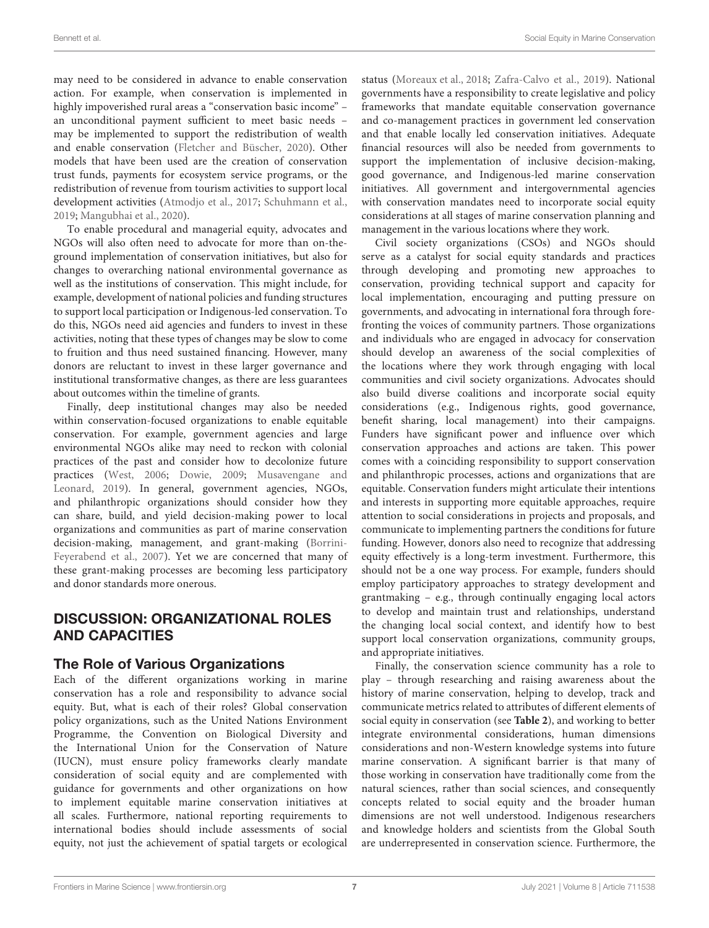may need to be considered in advance to enable conservation action. For example, when conservation is implemented in highly impoverished rural areas a "conservation basic income" – an unconditional payment sufficient to meet basic needs – may be implemented to support the redistribution of wealth and enable conservation [\(Fletcher and Büscher,](#page-10-42) [2020\)](#page-10-42). Other models that have been used are the creation of conservation trust funds, payments for ecosystem service programs, or the redistribution of revenue from tourism activities to support local development activities [\(Atmodjo et al.,](#page-9-40) [2017;](#page-9-40) [Schuhmann et al.,](#page-11-40) [2019;](#page-11-40) [Mangubhai et al.,](#page-11-31) [2020\)](#page-11-31).

To enable procedural and managerial equity, advocates and NGOs will also often need to advocate for more than on-theground implementation of conservation initiatives, but also for changes to overarching national environmental governance as well as the institutions of conservation. This might include, for example, development of national policies and funding structures to support local participation or Indigenous-led conservation. To do this, NGOs need aid agencies and funders to invest in these activities, noting that these types of changes may be slow to come to fruition and thus need sustained financing. However, many donors are reluctant to invest in these larger governance and institutional transformative changes, as there are less guarantees about outcomes within the timeline of grants.

Finally, deep institutional changes may also be needed within conservation-focused organizations to enable equitable conservation. For example, government agencies and large environmental NGOs alike may need to reckon with colonial practices of the past and consider how to decolonize future practices [\(West,](#page-12-19) [2006;](#page-12-19) [Dowie,](#page-10-0) [2009;](#page-10-0) [Musavengane and](#page-11-1) [Leonard,](#page-11-1) [2019\)](#page-11-1). In general, government agencies, NGOs, and philanthropic organizations should consider how they can share, build, and yield decision-making power to local organizations and communities as part of marine conservation decision-making, management, and grant-making [\(Borrini-](#page-9-11)[Feyerabend et al.,](#page-9-11) [2007\)](#page-9-11). Yet we are concerned that many of these grant-making processes are becoming less participatory and donor standards more onerous.

#### DISCUSSION: ORGANIZATIONAL ROLES AND CAPACITIES

#### The Role of Various Organizations

Each of the different organizations working in marine conservation has a role and responsibility to advance social equity. But, what is each of their roles? Global conservation policy organizations, such as the United Nations Environment Programme, the Convention on Biological Diversity and the International Union for the Conservation of Nature (IUCN), must ensure policy frameworks clearly mandate consideration of social equity and are complemented with guidance for governments and other organizations on how to implement equitable marine conservation initiatives at all scales. Furthermore, national reporting requirements to international bodies should include assessments of social equity, not just the achievement of spatial targets or ecological

status [\(Moreaux et al.,](#page-11-41) [2018;](#page-11-41) [Zafra-Calvo et al.,](#page-12-20) [2019\)](#page-12-20). National governments have a responsibility to create legislative and policy frameworks that mandate equitable conservation governance and co-management practices in government led conservation and that enable locally led conservation initiatives. Adequate financial resources will also be needed from governments to support the implementation of inclusive decision-making, good governance, and Indigenous-led marine conservation initiatives. All government and intergovernmental agencies with conservation mandates need to incorporate social equity considerations at all stages of marine conservation planning and management in the various locations where they work.

Civil society organizations (CSOs) and NGOs should serve as a catalyst for social equity standards and practices through developing and promoting new approaches to conservation, providing technical support and capacity for local implementation, encouraging and putting pressure on governments, and advocating in international fora through forefronting the voices of community partners. Those organizations and individuals who are engaged in advocacy for conservation should develop an awareness of the social complexities of the locations where they work through engaging with local communities and civil society organizations. Advocates should also build diverse coalitions and incorporate social equity considerations (e.g., Indigenous rights, good governance, benefit sharing, local management) into their campaigns. Funders have significant power and influence over which conservation approaches and actions are taken. This power comes with a coinciding responsibility to support conservation and philanthropic processes, actions and organizations that are equitable. Conservation funders might articulate their intentions and interests in supporting more equitable approaches, require attention to social considerations in projects and proposals, and communicate to implementing partners the conditions for future funding. However, donors also need to recognize that addressing equity effectively is a long-term investment. Furthermore, this should not be a one way process. For example, funders should employ participatory approaches to strategy development and grantmaking – e.g., through continually engaging local actors to develop and maintain trust and relationships, understand the changing local social context, and identify how to best support local conservation organizations, community groups, and appropriate initiatives.

Finally, the conservation science community has a role to play – through researching and raising awareness about the history of marine conservation, helping to develop, track and communicate metrics related to attributes of different elements of social equity in conservation (see **[Table 2](#page-7-0)**), and working to better integrate environmental considerations, human dimensions considerations and non-Western knowledge systems into future marine conservation. A significant barrier is that many of those working in conservation have traditionally come from the natural sciences, rather than social sciences, and consequently concepts related to social equity and the broader human dimensions are not well understood. Indigenous researchers and knowledge holders and scientists from the Global South are underrepresented in conservation science. Furthermore, the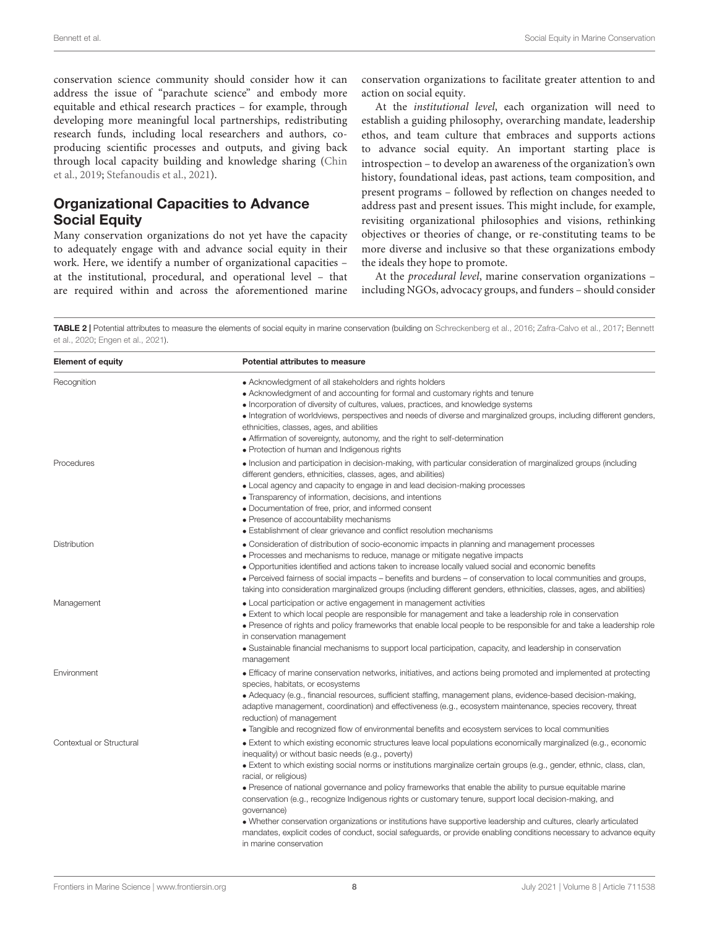conservation science community should consider how it can address the issue of "parachute science" and embody more equitable and ethical research practices – for example, through developing more meaningful local partnerships, redistributing research funds, including local researchers and authors, coproducing scientific processes and outputs, and giving back through local capacity building and knowledge sharing [\(Chin](#page-9-41) [et al.,](#page-9-41) [2019;](#page-9-41) [Stefanoudis et al.,](#page-12-21) [2021\)](#page-12-21).

#### Organizational Capacities to Advance Social Equity

Many conservation organizations do not yet have the capacity to adequately engage with and advance social equity in their work. Here, we identify a number of organizational capacities – at the institutional, procedural, and operational level – that are required within and across the aforementioned marine conservation organizations to facilitate greater attention to and action on social equity.

At the institutional level, each organization will need to establish a guiding philosophy, overarching mandate, leadership ethos, and team culture that embraces and supports actions to advance social equity. An important starting place is introspection – to develop an awareness of the organization's own history, foundational ideas, past actions, team composition, and present programs – followed by reflection on changes needed to address past and present issues. This might include, for example, revisiting organizational philosophies and visions, rethinking objectives or theories of change, or re-constituting teams to be more diverse and inclusive so that these organizations embody the ideals they hope to promote.

At the procedural level, marine conservation organizations – including NGOs, advocacy groups, and funders – should consider

<span id="page-7-0"></span>TABLE 2 | Potential attributes to measure the elements of social equity in marine conservation (building on [Schreckenberg et al.,](#page-11-4) [2016;](#page-11-4) [Zafra-Calvo et al.,](#page-12-8) [2017;](#page-12-8) [Bennett](#page-9-20) [et al.,](#page-9-20) [2020;](#page-9-20) [Engen et al.,](#page-10-15) [2021\)](#page-10-15).

| <b>Element of equity</b> | <b>Potential attributes to measure</b>                                                                                                                                                                                                                                                                                                                                                                                                                                                                                                                                                                                                                                                                                                                                                                                                 |
|--------------------------|----------------------------------------------------------------------------------------------------------------------------------------------------------------------------------------------------------------------------------------------------------------------------------------------------------------------------------------------------------------------------------------------------------------------------------------------------------------------------------------------------------------------------------------------------------------------------------------------------------------------------------------------------------------------------------------------------------------------------------------------------------------------------------------------------------------------------------------|
| Recognition              | • Acknowledgment of all stakeholders and rights holders<br>• Acknowledgment of and accounting for formal and customary rights and tenure<br>• Incorporation of diversity of cultures, values, practices, and knowledge systems<br>• Integration of worldviews, perspectives and needs of diverse and marginalized groups, including different genders,<br>ethnicities, classes, ages, and abilities<br>• Affirmation of sovereignty, autonomy, and the right to self-determination<br>• Protection of human and Indigenous rights                                                                                                                                                                                                                                                                                                      |
| Procedures               | • Inclusion and participation in decision-making, with particular consideration of marginalized groups (including<br>different genders, ethnicities, classes, ages, and abilities)<br>• Local agency and capacity to engage in and lead decision-making processes<br>• Transparency of information, decisions, and intentions<br>• Documentation of free, prior, and informed consent<br>• Presence of accountability mechanisms<br>• Establishment of clear grievance and conflict resolution mechanisms                                                                                                                                                                                                                                                                                                                              |
| <b>Distribution</b>      | • Consideration of distribution of socio-economic impacts in planning and management processes<br>• Processes and mechanisms to reduce, manage or mitigate negative impacts<br>• Opportunities identified and actions taken to increase locally valued social and economic benefits<br>• Perceived fairness of social impacts – benefits and burdens – of conservation to local communities and groups,<br>taking into consideration marginalized groups (including different genders, ethnicities, classes, ages, and abilities)                                                                                                                                                                                                                                                                                                      |
| Management               | • Local participation or active engagement in management activities<br>• Extent to which local people are responsible for management and take a leadership role in conservation<br>• Presence of rights and policy frameworks that enable local people to be responsible for and take a leadership role<br>in conservation management<br>• Sustainable financial mechanisms to support local participation, capacity, and leadership in conservation<br>management                                                                                                                                                                                                                                                                                                                                                                     |
| Environment              | • Efficacy of marine conservation networks, initiatives, and actions being promoted and implemented at protecting<br>species, habitats, or ecosystems<br>• Adequacy (e.g., financial resources, sufficient staffing, management plans, evidence-based decision-making,<br>adaptive management, coordination) and effectiveness (e.g., ecosystem maintenance, species recovery, threat<br>reduction) of management<br>• Tangible and recognized flow of environmental benefits and ecosystem services to local communities                                                                                                                                                                                                                                                                                                              |
| Contextual or Structural | • Extent to which existing economic structures leave local populations economically marginalized (e.g., economic<br>inequality) or without basic needs (e.g., poverty)<br>• Extent to which existing social norms or institutions marginalize certain groups (e.g., gender, ethnic, class, clan,<br>racial, or religious)<br>• Presence of national governance and policy frameworks that enable the ability to pursue equitable marine<br>conservation (e.g., recognize Indigenous rights or customary tenure, support local decision-making, and<br>qovernance)<br>• Whether conservation organizations or institutions have supportive leadership and cultures, clearly articulated<br>mandates, explicit codes of conduct, social safeguards, or provide enabling conditions necessary to advance equity<br>in marine conservation |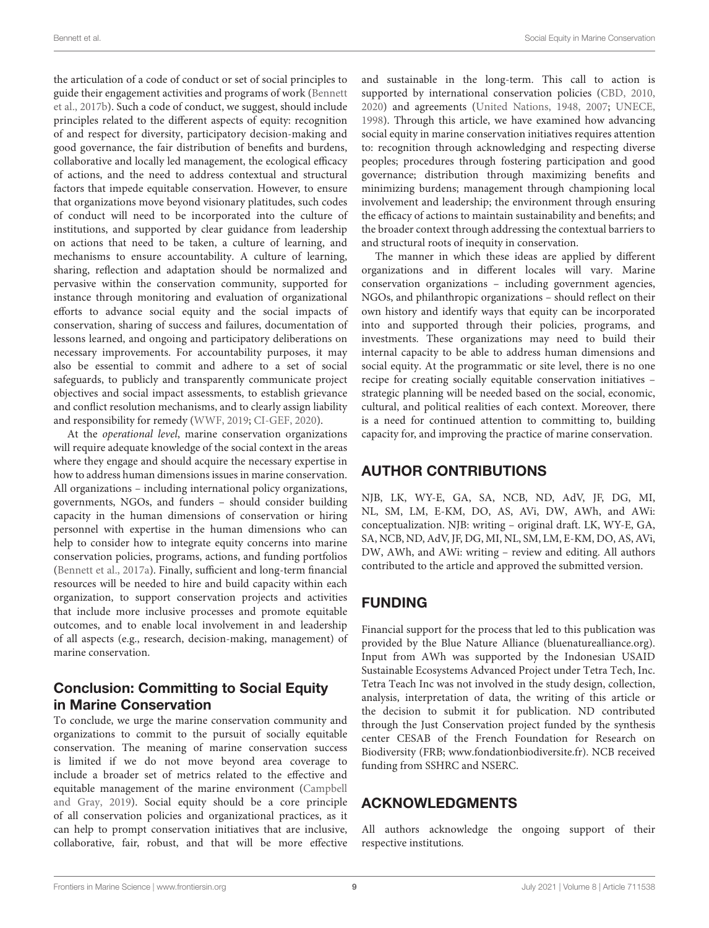the articulation of a code of conduct or set of social principles to guide their engagement activities and programs of work [\(Bennett](#page-9-3) [et al.,](#page-9-3) [2017b\)](#page-9-3). Such a code of conduct, we suggest, should include principles related to the different aspects of equity: recognition of and respect for diversity, participatory decision-making and good governance, the fair distribution of benefits and burdens, collaborative and locally led management, the ecological efficacy of actions, and the need to address contextual and structural factors that impede equitable conservation. However, to ensure that organizations move beyond visionary platitudes, such codes of conduct will need to be incorporated into the culture of institutions, and supported by clear guidance from leadership on actions that need to be taken, a culture of learning, and mechanisms to ensure accountability. A culture of learning, sharing, reflection and adaptation should be normalized and pervasive within the conservation community, supported for instance through monitoring and evaluation of organizational efforts to advance social equity and the social impacts of conservation, sharing of success and failures, documentation of lessons learned, and ongoing and participatory deliberations on necessary improvements. For accountability purposes, it may also be essential to commit and adhere to a set of social safeguards, to publicly and transparently communicate project objectives and social impact assessments, to establish grievance and conflict resolution mechanisms, and to clearly assign liability and responsibility for remedy [\(WWF,](#page-12-22) [2019;](#page-12-22) [CI-GEF,](#page-9-42) [2020\)](#page-9-42).

At the operational level, marine conservation organizations will require adequate knowledge of the social context in the areas where they engage and should acquire the necessary expertise in how to address human dimensions issues in marine conservation. All organizations – including international policy organizations, governments, NGOs, and funders – should consider building capacity in the human dimensions of conservation or hiring personnel with expertise in the human dimensions who can help to consider how to integrate equity concerns into marine conservation policies, programs, actions, and funding portfolios [\(Bennett et al.,](#page-9-23) [2017a\)](#page-9-23). Finally, sufficient and long-term financial resources will be needed to hire and build capacity within each organization, to support conservation projects and activities that include more inclusive processes and promote equitable outcomes, and to enable local involvement in and leadership of all aspects (e.g., research, decision-making, management) of marine conservation.

#### Conclusion: Committing to Social Equity in Marine Conservation

To conclude, we urge the marine conservation community and organizations to commit to the pursuit of socially equitable conservation. The meaning of marine conservation success is limited if we do not move beyond area coverage to include a broader set of metrics related to the effective and equitable management of the marine environment [\(Campbell](#page-9-16) [and Gray,](#page-9-16) [2019\)](#page-9-16). Social equity should be a core principle of all conservation policies and organizational practices, as it can help to prompt conservation initiatives that are inclusive, collaborative, fair, robust, and that will be more effective

and sustainable in the long-term. This call to action is supported by international conservation policies [\(CBD,](#page-9-13) [2010,](#page-9-13) [2020\)](#page-9-14) and agreements [\(United Nations,](#page-12-23) [1948,](#page-12-23) [2007;](#page-12-10) [UNECE,](#page-12-9) [1998\)](#page-12-9). Through this article, we have examined how advancing social equity in marine conservation initiatives requires attention to: recognition through acknowledging and respecting diverse peoples; procedures through fostering participation and good governance; distribution through maximizing benefits and minimizing burdens; management through championing local involvement and leadership; the environment through ensuring the efficacy of actions to maintain sustainability and benefits; and the broader context through addressing the contextual barriers to and structural roots of inequity in conservation.

The manner in which these ideas are applied by different organizations and in different locales will vary. Marine conservation organizations – including government agencies, NGOs, and philanthropic organizations – should reflect on their own history and identify ways that equity can be incorporated into and supported through their policies, programs, and investments. These organizations may need to build their internal capacity to be able to address human dimensions and social equity. At the programmatic or site level, there is no one recipe for creating socially equitable conservation initiatives – strategic planning will be needed based on the social, economic, cultural, and political realities of each context. Moreover, there is a need for continued attention to committing to, building capacity for, and improving the practice of marine conservation.

### AUTHOR CONTRIBUTIONS

NJB, LK, WY-E, GA, SA, NCB, ND, AdV, JF, DG, MI, NL, SM, LM, E-KM, DO, AS, AVi, DW, AWh, and AWi: conceptualization. NJB: writing – original draft. LK, WY-E, GA, SA, NCB, ND, AdV, JF, DG, MI, NL, SM, LM, E-KM, DO, AS, AVi, DW, AWh, and AWi: writing – review and editing. All authors contributed to the article and approved the submitted version.

# FUNDING

Financial support for the process that led to this publication was provided by the Blue Nature Alliance [\(bluenaturealliance.org\)](https://www.bluenaturealliance.org). Input from AWh was supported by the Indonesian USAID Sustainable Ecosystems Advanced Project under Tetra Tech, Inc. Tetra Teach Inc was not involved in the study design, collection, analysis, interpretation of data, the writing of this article or the decision to submit it for publication. ND contributed through the Just Conservation project funded by the synthesis center CESAB of the French Foundation for Research on Biodiversity (FRB; [www.fondationbiodiversite.fr\)](https://www.fondationbiodiversite.fr). NCB received funding from SSHRC and NSERC.

#### ACKNOWLEDGMENTS

All authors acknowledge the ongoing support of their respective institutions.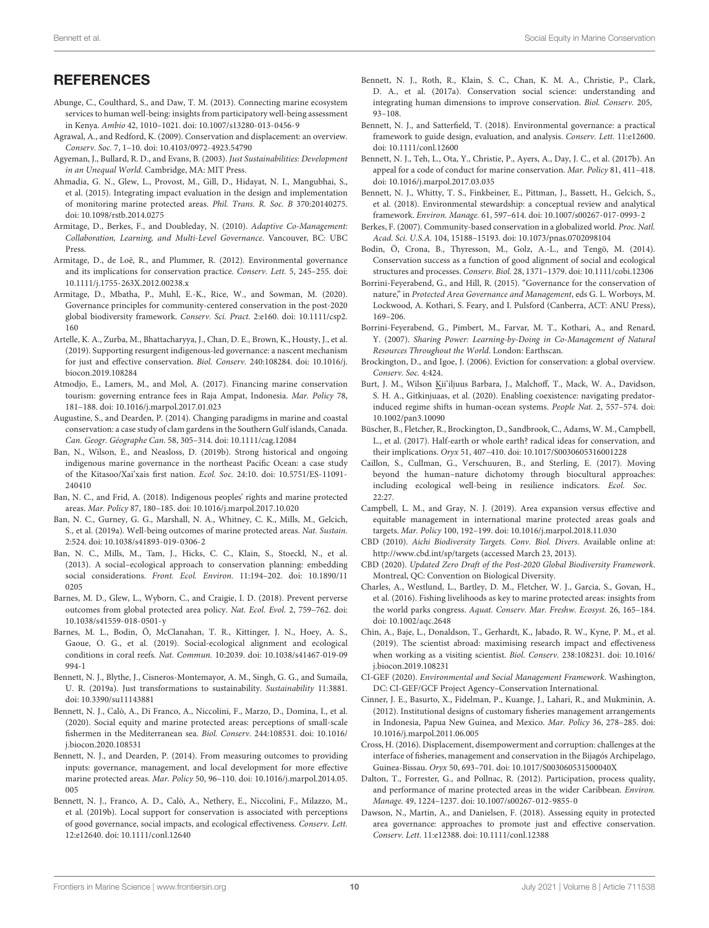## <span id="page-9-24"></span>**REFERENCES**

- <span id="page-9-28"></span>Abunge, C., Coulthard, S., and Daw, T. M. (2013). Connecting marine ecosystem services to human well-being: insights from participatory well-being assessment in Kenya. Ambio 42, 1010–1021. [doi: 10.1007/s13280-013-0456-9](https://doi.org/10.1007/s13280-013-0456-9)
- <span id="page-9-1"></span>Agrawal, A., and Redford, K. (2009). Conservation and displacement: an overview. Conserv. Soc. 7, 1–10. [doi: 10.4103/0972-4923.54790](https://doi.org/10.4103/0972-4923.54790)
- <span id="page-9-17"></span>Agyeman, J., Bullard, R. D., and Evans, B. (2003). Just Sustainabilities: Development in an Unequal World. Cambridge, MA: MIT Press.
- <span id="page-9-39"></span>Ahmadia, G. N., Glew, L., Provost, M., Gill, D., Hidayat, N. I., Mangubhai, S., et al. (2015). Integrating impact evaluation in the design and implementation of monitoring marine protected areas. Phil. Trans. R. Soc. B 370:20140275. [doi: 10.1098/rstb.2014.0275](https://doi.org/10.1098/rstb.2014.0275)
- <span id="page-9-37"></span>Armitage, D., Berkes, F., and Doubleday, N. (2010). Adaptive Co-Management: Collaboration, Learning, and Multi-Level Governance. Vancouver, BC: UBC Press.
- <span id="page-9-12"></span>Armitage, D., de Loë, R., and Plummer, R. (2012). Environmental governance and its implications for conservation practice. Conserv. Lett. 5, 245–255. [doi:](https://doi.org/10.1111/j.1755-263X.2012.00238.x) [10.1111/j.1755-263X.2012.00238.x](https://doi.org/10.1111/j.1755-263X.2012.00238.x)
- <span id="page-9-4"></span>Armitage, D., Mbatha, P., Muhl, E.-K., Rice, W., and Sowman, M. (2020). Governance principles for community-centered conservation in the post-2020 global biodiversity framework. Conserv. Sci. Pract. 2:e160. [doi: 10.1111/csp2.](https://doi.org/10.1111/csp2.160) [160](https://doi.org/10.1111/csp2.160)
- <span id="page-9-26"></span>Artelle, K. A., Zurba, M., Bhattacharyya, J., Chan, D. E., Brown, K., Housty, J., et al. (2019). Supporting resurgent indigenous-led governance: a nascent mechanism for just and effective conservation. Biol. Conserv. 240:108284. [doi: 10.1016/j.](https://doi.org/10.1016/j.biocon.2019.108284) [biocon.2019.108284](https://doi.org/10.1016/j.biocon.2019.108284)
- <span id="page-9-40"></span>Atmodjo, E., Lamers, M., and Mol, A. (2017). Financing marine conservation tourism: governing entrance fees in Raja Ampat, Indonesia. Mar. Policy 78, 181–188. [doi: 10.1016/j.marpol.2017.01.023](https://doi.org/10.1016/j.marpol.2017.01.023)
- <span id="page-9-36"></span>Augustine, S., and Dearden, P. (2014). Changing paradigms in marine and coastal conservation: a case study of clam gardens in the Southern Gulf islands, Canada. Can. Geogr. Géographe Can. 58, 305–314. [doi: 10.1111/cag.12084](https://doi.org/10.1111/cag.12084)
- <span id="page-9-35"></span>Ban, N., Wilson, E., and Neasloss, D. (2019b). Strong historical and ongoing indigenous marine governance in the northeast Pacific Ocean: a case study of the Kitasoo/Xai'xais first nation. Ecol. Soc. 24:10. [doi: 10.5751/ES-11091-](https://doi.org/10.5751/ES-11091-240410) [240410](https://doi.org/10.5751/ES-11091-240410)
- <span id="page-9-10"></span>Ban, N. C., and Frid, A. (2018). Indigenous peoples' rights and marine protected areas. Mar. Policy 87, 180–185. [doi: 10.1016/j.marpol.2017.10.020](https://doi.org/10.1016/j.marpol.2017.10.020)
- <span id="page-9-9"></span>Ban, N. C., Gurney, G. G., Marshall, N. A., Whitney, C. K., Mills, M., Gelcich, S., et al. (2019a). Well-being outcomes of marine protected areas. Nat. Sustain. 2:524. [doi: 10.1038/s41893-019-0306-2](https://doi.org/10.1038/s41893-019-0306-2)
- <span id="page-9-27"></span>Ban, N. C., Mills, M., Tam, J., Hicks, C. C., Klain, S., Stoeckl, N., et al. (2013). A social–ecological approach to conservation planning: embedding social considerations. Front. Ecol. Environ. 11:194–202. [doi: 10.1890/11](https://doi.org/10.1890/110205) [0205](https://doi.org/10.1890/110205)
- <span id="page-9-38"></span>Barnes, M. D., Glew, L., Wyborn, C., and Craigie, I. D. (2018). Prevent perverse outcomes from global protected area policy. Nat. Ecol. Evol. 2, 759–762. [doi:](https://doi.org/10.1038/s41559-018-0501-y) [10.1038/s41559-018-0501-y](https://doi.org/10.1038/s41559-018-0501-y)
- <span id="page-9-31"></span>Barnes, M. L., Bodin, Ö, McClanahan, T. R., Kittinger, J. N., Hoey, A. S., Gaoue, O. G., et al. (2019). Social-ecological alignment and ecological conditions in coral reefs. Nat. Commun. 10:2039. [doi: 10.1038/s41467-019-09](https://doi.org/10.1038/s41467-019-09994-1) [994-1](https://doi.org/10.1038/s41467-019-09994-1)
- <span id="page-9-18"></span>Bennett, N. J., Blythe, J., Cisneros-Montemayor, A. M., Singh, G. G., and Sumaila, U. R. (2019a). Just transformations to sustainability. Sustainability 11:3881. [doi: 10.3390/su11143881](https://doi.org/10.3390/su11143881)
- <span id="page-9-20"></span>Bennett, N. J., Calò, A., Di Franco, A., Niccolini, F., Marzo, D., Domina, I., et al. (2020). Social equity and marine protected areas: perceptions of small-scale fishermen in the Mediterranean sea. Biol. Conserv. 244:108531. [doi: 10.1016/](https://doi.org/10.1016/j.biocon.2020.108531) [j.biocon.2020.108531](https://doi.org/10.1016/j.biocon.2020.108531)
- <span id="page-9-29"></span>Bennett, N. J., and Dearden, P. (2014). From measuring outcomes to providing inputs: governance, management, and local development for more effective marine protected areas. Mar. Policy 50, 96–110. [doi: 10.1016/j.marpol.2014.05.](https://doi.org/10.1016/j.marpol.2014.05.005) [005](https://doi.org/10.1016/j.marpol.2014.05.005)
- <span id="page-9-5"></span>Bennett, N. J., Franco, A. D., Calò, A., Nethery, E., Niccolini, F., Milazzo, M., et al. (2019b). Local support for conservation is associated with perceptions of good governance, social impacts, and ecological effectiveness. Conserv. Lett. 12:e12640. [doi: 10.1111/conl.12640](https://doi.org/10.1111/conl.12640)
- <span id="page-9-23"></span>Bennett, N. J., Roth, R., Klain, S. C., Chan, K. M. A., Christie, P., Clark, D. A., et al. (2017a). Conservation social science: understanding and integrating human dimensions to improve conservation. Biol. Conserv. 205, 93–108.
- <span id="page-9-21"></span>Bennett, N. J., and Satterfield, T. (2018). Environmental governance: a practical framework to guide design, evaluation, and analysis. Conserv. Lett. 11:e12600. [doi: 10.1111/conl.12600](https://doi.org/10.1111/conl.12600)
- <span id="page-9-3"></span>Bennett, N. J., Teh, L., Ota, Y., Christie, P., Ayers, A., Day, J. C., et al. (2017b). An appeal for a code of conduct for marine conservation. Mar. Policy 81, 411–418. [doi: 10.1016/j.marpol.2017.03.035](https://doi.org/10.1016/j.marpol.2017.03.035)
- <span id="page-9-34"></span>Bennett, N. J., Whitty, T. S., Finkbeiner, E., Pittman, J., Bassett, H., Gelcich, S., et al. (2018). Environmental stewardship: a conceptual review and analytical framework. Environ. Manage. 61, 597–614. [doi: 10.1007/s00267-017-0993-2](https://doi.org/10.1007/s00267-017-0993-2)
- <span id="page-9-8"></span>Berkes, F. (2007). Community-based conservation in a globalized world. Proc. Natl. Acad. Sci. U.S.A. 104, 15188–15193. [doi: 10.1073/pnas.0702098104](https://doi.org/10.1073/pnas.0702098104)
- <span id="page-9-30"></span>Bodin, Ö, Crona, B., Thyresson, M., Golz, A.-L., and Tengö, M. (2014). Conservation success as a function of good alignment of social and ecological structures and processes. Conserv. Biol. 28, 1371–1379. [doi: 10.1111/cobi.12306](https://doi.org/10.1111/cobi.12306)
- <span id="page-9-25"></span>Borrini-Feyerabend, G., and Hill, R. (2015). "Governance for the conservation of nature," in Protected Area Governance and Management, eds G. L. Worboys, M. Lockwood, A. Kothari, S. Feary, and I. Pulsford (Canberra, ACT: ANU Press), 169–206.
- <span id="page-9-11"></span>Borrini-Feyerabend, G., Pimbert, M., Farvar, M. T., Kothari, A., and Renard, Y. (2007). Sharing Power: Learning-by-Doing in Co-Management of Natural Resources Throughout the World. London: Earthscan.
- <span id="page-9-0"></span>Brockington, D., and Igoe, J. (2006). Eviction for conservation: a global overview. Conserv. Soc. 4:424.
- <span id="page-9-6"></span>Burt, J. M., Wilson Kii'iljuus Barbara, J., Malchoff, T., Mack, W. A., Davidson, S. H. A., Gitkinjuaas, et al. (2020). Enabling coexistence: navigating predatorinduced regime shifts in human-ocean systems. People Nat. 2, 557–574. [doi:](https://doi.org/10.1002/pan3.10090) [10.1002/pan3.10090](https://doi.org/10.1002/pan3.10090)
- <span id="page-9-15"></span>Büscher, B., Fletcher, R., Brockington, D., Sandbrook, C., Adams, W. M., Campbell, L., et al. (2017). Half-earth or whole earth? radical ideas for conservation, and their implications. Oryx 51, 407–410. [doi: 10.1017/S0030605316001228](https://doi.org/10.1017/S0030605316001228)
- <span id="page-9-22"></span>Caillon, S., Cullman, G., Verschuuren, B., and Sterling, E. (2017). Moving beyond the human–nature dichotomy through biocultural approaches: including ecological well-being in resilience indicators. Ecol. Soc. 22:27.
- <span id="page-9-16"></span>Campbell, L. M., and Gray, N. J. (2019). Area expansion versus effective and equitable management in international marine protected areas goals and targets. Mar. Policy 100, 192–199. [doi: 10.1016/j.marpol.2018.11.030](https://doi.org/10.1016/j.marpol.2018.11.030)
- <span id="page-9-13"></span>CBD (2010). Aichi Biodiversity Targets. Conv. Biol. Divers. Available online at: <http://www.cbd.int/sp/targets> (accessed March 23, 2013).
- <span id="page-9-14"></span>CBD (2020). Updated Zero Draft of the Post-2020 Global Biodiversity Framework. Montreal, QC: Convention on Biological Diversity.
- <span id="page-9-7"></span>Charles, A., Westlund, L., Bartley, D. M., Fletcher, W. J., Garcia, S., Govan, H., et al. (2016). Fishing livelihoods as key to marine protected areas: insights from the world parks congress. Aquat. Conserv. Mar. Freshw. Ecosyst. 26, 165–184. [doi: 10.1002/aqc.2648](https://doi.org/10.1002/aqc.2648)
- <span id="page-9-41"></span>Chin, A., Baje, L., Donaldson, T., Gerhardt, K., Jabado, R. W., Kyne, P. M., et al. (2019). The scientist abroad: maximising research impact and effectiveness when working as a visiting scientist. Biol. Conserv. 238:108231. [doi: 10.1016/](https://doi.org/10.1016/j.biocon.2019.108231) [j.biocon.2019.108231](https://doi.org/10.1016/j.biocon.2019.108231)
- <span id="page-9-42"></span>CI-GEF (2020). Environmental and Social Management Framework. Washington, DC: CI-GEF/GCF Project Agency–Conservation International.
- <span id="page-9-33"></span>Cinner, J. E., Basurto, X., Fidelman, P., Kuange, J., Lahari, R., and Mukminin, A. (2012). Institutional designs of customary fisheries management arrangements in Indonesia, Papua New Guinea, and Mexico. Mar. Policy 36, 278–285. [doi:](https://doi.org/10.1016/j.marpol.2011.06.005) [10.1016/j.marpol.2011.06.005](https://doi.org/10.1016/j.marpol.2011.06.005)
- <span id="page-9-2"></span>Cross, H. (2016). Displacement, disempowerment and corruption: challenges at the interface of fisheries, management and conservation in the Bijagós Archipelago, Guinea-Bissau. Oryx 50, 693–701. [doi: 10.1017/S003060531500040X](https://doi.org/10.1017/S003060531500040X)
- <span id="page-9-32"></span>Dalton, T., Forrester, G., and Pollnac, R. (2012). Participation, process quality, and performance of marine protected areas in the wider Caribbean. Environ. Manage. 49, 1224–1237. [doi: 10.1007/s00267-012-9855-0](https://doi.org/10.1007/s00267-012-9855-0)
- <span id="page-9-19"></span>Dawson, N., Martin, A., and Danielsen, F. (2018). Assessing equity in protected area governance: approaches to promote just and effective conservation. Conserv. Lett. 11:e12388. [doi: 10.1111/conl.12388](https://doi.org/10.1111/conl.12388)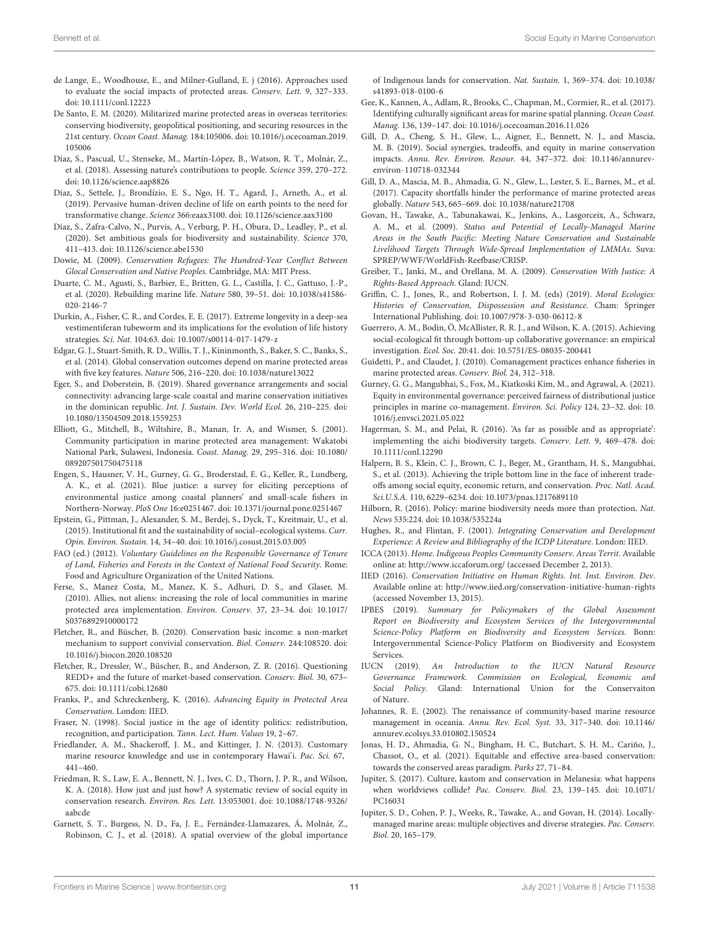- <span id="page-10-9"></span>de Lange, E., Woodhouse, E., and Milner-Gulland, E. j (2016). Approaches used to evaluate the social impacts of protected areas. Conserv. Lett. 9, 327–333. [doi: 10.1111/conl.12223](https://doi.org/10.1111/conl.12223)
- <span id="page-10-40"></span>De Santo, E. M. (2020). Militarized marine protected areas in overseas territories: conserving biodiversity, geopolitical positioning, and securing resources in the 21st century. Ocean Coast. Manag. 184:105006. [doi: 10.1016/j.ocecoaman.2019.](https://doi.org/10.1016/j.ocecoaman.2019.105006) [105006](https://doi.org/10.1016/j.ocecoaman.2019.105006)
- <span id="page-10-37"></span>Díaz, S., Pascual, U., Stenseke, M., Martín-López, B., Watson, R. T., Molnár, Z., et al. (2018). Assessing nature's contributions to people. Science 359, 270–272. [doi: 10.1126/science.aap8826](https://doi.org/10.1126/science.aap8826)
- <span id="page-10-18"></span>Díaz, S., Settele, J., Brondízio, E. S., Ngo, H. T., Agard, J., Arneth, A., et al. (2019). Pervasive human-driven decline of life on earth points to the need for transformative change. Science 366:eaax3100. [doi: 10.1126/science.aax3100](https://doi.org/10.1126/science.aax3100)
- <span id="page-10-19"></span>Díaz, S., Zafra-Calvo, N., Purvis, A., Verburg, P. H., Obura, D., Leadley, P., et al. (2020). Set ambitious goals for biodiversity and sustainability. Science 370, 411–413. [doi: 10.1126/science.abe1530](https://doi.org/10.1126/science.abe1530)
- <span id="page-10-0"></span>Dowie, M. (2009). Conservation Refugees: The Hundred-Year Conflict Between Glocal Conservation and Native Peoples. Cambridge, MA: MIT Press.
- <span id="page-10-13"></span>Duarte, C. M., Agusti, S., Barbier, E., Britten, G. L., Castilla, J. C., Gattuso, J.-P., et al. (2020). Rebuilding marine life. Nature 580, 39–51. [doi: 10.1038/s41586-](https://doi.org/10.1038/s41586-020-2146-7) [020-2146-7](https://doi.org/10.1038/s41586-020-2146-7)
- <span id="page-10-38"></span>Durkin, A., Fisher, C. R., and Cordes, E. E. (2017). Extreme longevity in a deep-sea vestimentiferan tubeworm and its implications for the evolution of life history strategies. Sci. Nat. 104:63. [doi: 10.1007/s00114-017-1479-z](https://doi.org/10.1007/s00114-017-1479-z)
- <span id="page-10-30"></span>Edgar, G. J., Stuart-Smith, R. D., Willis, T. J., Kininmonth, S., Baker, S. C., Banks, S., et al. (2014). Global conservation outcomes depend on marine protected areas with five key features. Nature 506, 216–220. [doi: 10.1038/nature13022](https://doi.org/10.1038/nature13022)
- <span id="page-10-11"></span>Eger, S., and Doberstein, B. (2019). Shared governance arrangements and social connectivity: advancing large-scale coastal and marine conservation initiatives in the dominican republic. Int. J. Sustain. Dev. World Ecol. 26, 210–225. [doi:](https://doi.org/10.1080/13504509.2018.1559253) [10.1080/13504509.2018.1559253](https://doi.org/10.1080/13504509.2018.1559253)
- <span id="page-10-35"></span>Elliott, G., Mitchell, B., Wiltshire, B., Manan, Ir. A, and Wismer, S. (2001). Community participation in marine protected area management: Wakatobi National Park, Sulawesi, Indonesia. Coast. Manag. 29, 295–316. [doi: 10.1080/](https://doi.org/10.1080/089207501750475118) [089207501750475118](https://doi.org/10.1080/089207501750475118)
- <span id="page-10-15"></span>Engen, S., Hausner, V. H., Gurney, G. G., Broderstad, E. G., Keller, R., Lundberg, A. K., et al. (2021). Blue justice: a survey for eliciting perceptions of environmental justice among coastal planners' and small-scale fishers in Northern-Norway. PloS One 16:e0251467. [doi: 10.1371/journal.pone.0251467](https://doi.org/10.1371/journal.pone.0251467)
- <span id="page-10-21"></span>Epstein, G., Pittman, J., Alexander, S. M., Berdej, S., Dyck, T., Kreitmair, U., et al. (2015). Institutional fit and the sustainability of social–ecological systems. Curr. Opin. Environ. Sustain. 14, 34–40. [doi: 10.1016/j.cosust.2015.03.005](https://doi.org/10.1016/j.cosust.2015.03.005)
- <span id="page-10-24"></span>FAO (ed.) (2012). Voluntary Guidelines on the Responsible Governance of Tenure of Land, Fisheries and Forests in the Context of National Food Security. Rome: Food and Agriculture Organization of the United Nations.
- <span id="page-10-3"></span>Ferse, S., Manez Costa, M., Manez, K. S., Adhuri, D. S., and Glaser, M. (2010). Allies, not aliens: increasing the role of local communities in marine protected area implementation. Environ. Conserv. 37, 23–34. [doi: 10.1017/](https://doi.org/10.1017/S0376892910000172) [S0376892910000172](https://doi.org/10.1017/S0376892910000172)
- <span id="page-10-42"></span>Fletcher, R., and Büscher, B. (2020). Conservation basic income: a non-market mechanism to support convivial conservation. Biol. Conserv. 244:108520. [doi:](https://doi.org/10.1016/j.biocon.2020.108520) [10.1016/j.biocon.2020.108520](https://doi.org/10.1016/j.biocon.2020.108520)
- <span id="page-10-2"></span>Fletcher, R., Dressler, W., Büscher, B., and Anderson, Z. R. (2016). Questioning REDD+ and the future of market-based conservation. Conserv. Biol. 30, 673– 675. [doi: 10.1111/cobi.12680](https://doi.org/10.1111/cobi.12680)
- <span id="page-10-25"></span>Franks, P., and Schreckenberg, K. (2016). Advancing Equity in Protected Area Conservation. London: IIED.
- <span id="page-10-16"></span>Fraser, N. (1998). Social justice in the age of identity politics: redistribution, recognition, and participation. Tann. Lect. Hum. Values 19, 2–67.
- <span id="page-10-36"></span>Friedlander, A. M., Shackeroff, J. M., and Kittinger, J. N. (2013). Customary marine resource knowledge and use in contemporary Hawai'i. Pac. Sci. 67, 441–460.
- <span id="page-10-17"></span>Friedman, R. S., Law, E. A., Bennett, N. J., Ives, C. D., Thorn, J. P. R., and Wilson, K. A. (2018). How just and just how? A systematic review of social equity in conservation research. Environ. Res. Lett. 13:053001. [doi: 10.1088/1748-9326/](https://doi.org/10.1088/1748-9326/aabcde) [aabcde](https://doi.org/10.1088/1748-9326/aabcde)
- <span id="page-10-4"></span>Garnett, S. T., Burgess, N. D., Fa, J. E., Fernández-Llamazares, Á, Molnár, Z., Robinson, C. J., et al. (2018). A spatial overview of the global importance

of Indigenous lands for conservation. Nat. Sustain. 1, 369–374. [doi: 10.1038/](https://doi.org/10.1038/s41893-018-0100-6) [s41893-018-0100-6](https://doi.org/10.1038/s41893-018-0100-6)

- <span id="page-10-32"></span>Gee, K., Kannen, A., Adlam, R., Brooks, C., Chapman, M., Cormier, R., et al. (2017). Identifying culturally significant areas for marine spatial planning. Ocean Coast. Manag. 136, 139–147. [doi: 10.1016/j.ocecoaman.2016.11.026](https://doi.org/10.1016/j.ocecoaman.2016.11.026)
- <span id="page-10-28"></span>Gill, D. A., Cheng, S. H., Glew, L., Aigner, E., Bennett, N. J., and Mascia, M. B. (2019). Social synergies, tradeoffs, and equity in marine conservation impacts. Annu. Rev. Environ. Resour. 44, 347–372. [doi: 10.1146/annurev](https://doi.org/10.1146/annurev-environ-110718-032344)[environ-110718-032344](https://doi.org/10.1146/annurev-environ-110718-032344)
- <span id="page-10-41"></span>Gill, D. A., Mascia, M. B., Ahmadia, G. N., Glew, L., Lester, S. E., Barnes, M., et al. (2017). Capacity shortfalls hinder the performance of marine protected areas globally. Nature 543, 665–669. [doi: 10.1038/nature21708](https://doi.org/10.1038/nature21708)
- <span id="page-10-6"></span>Govan, H., Tawake, A., Tabunakawai, K., Jenkins, A., Lasgorceix, A., Schwarz, A. M., et al. (2009). Status and Potential of Locally-Managed Marine Areas in the South Pacific: Meeting Nature Conservation and Sustainable Livelihood Targets Through Wide-Spread Implementation of LMMAs. Suva: SPREP/WWF/WorldFish-Reefbase/CRISP.
- <span id="page-10-5"></span>Greiber, T., Janki, M., and Orellana, M. A. (2009). Conservation With Justice: A Rights-Based Approach. Gland: IUCN.
- <span id="page-10-1"></span>Griffin, C. J., Jones, R., and Robertson, I. J. M. (eds) (2019). Moral Ecologies: Histories of Conservation, Dispossession and Resistance. Cham: Springer International Publishing. [doi: 10.1007/978-3-030-06112-8](https://doi.org/10.1007/978-3-030-06112-8)
- <span id="page-10-22"></span>Guerrero, A. M., Bodin, Ö, McAllister, R. R. J., and Wilson, K. A. (2015). Achieving social-ecological fit through bottom-up collaborative governance: an empirical investigation. Ecol. Soc. 20:41. [doi: 10.5751/ES-08035-200441](https://doi.org/10.5751/ES-08035-200441)
- <span id="page-10-29"></span>Guidetti, P., and Claudet, J. (2010). Comanagement practices enhance fisheries in marine protected areas. Conserv. Biol. 24, 312–318.
- <span id="page-10-33"></span>Gurney, G. G., Mangubhai, S., Fox, M., Kiatkoski Kim, M., and Agrawal, A. (2021). Equity in environmental governance: perceived fairness of distributional justice principles in marine co-management. Environ. Sci. Policy 124, 23–32. [doi: 10.](https://doi.org/10.1016/j.envsci.2021.05.022) [1016/j.envsci.2021.05.022](https://doi.org/10.1016/j.envsci.2021.05.022)
- <span id="page-10-14"></span>Hagerman, S. M., and Pelai, R. (2016). 'As far as possible and as appropriate': implementing the aichi biodiversity targets. Conserv. Lett. 9, 469–478. [doi:](https://doi.org/10.1111/conl.12290) [10.1111/conl.12290](https://doi.org/10.1111/conl.12290)
- <span id="page-10-31"></span>Halpern, B. S., Klein, C. J., Brown, C. J., Beger, M., Grantham, H. S., Mangubhai, S., et al. (2013). Achieving the triple bottom line in the face of inherent tradeoffs among social equity, economic return, and conservation. Proc. Natl. Acad. Sci.U.S.A. 110, 6229–6234. [doi: 10.1073/pnas.1217689110](https://doi.org/10.1073/pnas.1217689110)
- <span id="page-10-39"></span>Hilborn, R. (2016). Policy: marine biodiversity needs more than protection. Nat. News 535:224. [doi: 10.1038/535224a](https://doi.org/10.1038/535224a)
- <span id="page-10-34"></span>Hughes, R., and Flintan, F. (2001). Integrating Conservation and Development Experience: A Review and Bibliography of the ICDP Literature. London: IIED.
- <span id="page-10-7"></span>ICCA (2013). Home. Indigeous Peoples Community Conserv. Areas Territ. Available online at: <http://www.iccaforum.org/> (accessed December 2, 2013).
- <span id="page-10-20"></span>IIED (2016). Conservation Initiative on Human Rights. Int. Inst. Environ. Dev. Available online at: <http://www.iied.org/conservation-initiative-human-rights> (accessed November 13, 2015).
- <span id="page-10-12"></span>IPBES (2019). Summary for Policymakers of the Global Assessment Report on Biodiversity and Ecosystem Services of the Intergovernmental Science-Policy Platform on Biodiversity and Ecosystem Services. Bonn: Intergovernmental Science-Policy Platform on Biodiversity and Ecosystem Services.
- <span id="page-10-26"></span>IUCN (2019). An Introduction to the IUCN Natural Resource Governance Framework. Commission on Ecological, Economic and Social Policy. Gland: International Union for the Conservaiton of Nature.
- <span id="page-10-23"></span>Johannes, R. E. (2002). The renaissance of community-based marine resource management in oceania. Annu. Rev. Ecol. Syst. 33, 317–340. [doi: 10.1146/](https://doi.org/10.1146/annurev.ecolsys.33.010802.150524) [annurev.ecolsys.33.010802.150524](https://doi.org/10.1146/annurev.ecolsys.33.010802.150524)
- <span id="page-10-27"></span>Jonas, H. D., Ahmadia, G. N., Bingham, H. C., Butchart, S. H. M., Cariño, J., Chassot, O., et al. (2021). Equitable and effective area-based conservation: towards the conserved areas paradigm. Parks 27, 71–84.
- <span id="page-10-10"></span>Jupiter, S. (2017). Culture, kastom and conservation in Melanesia: what happens when worldviews collide? Pac. Conserv. Biol. 23, 139–145. [doi: 10.1071/](https://doi.org/10.1071/PC16031) [PC16031](https://doi.org/10.1071/PC16031)
- <span id="page-10-8"></span>Jupiter, S. D., Cohen, P. J., Weeks, R., Tawake, A., and Govan, H. (2014). Locallymanaged marine areas: multiple objectives and diverse strategies. Pac. Conserv. Biol. 20, 165–179.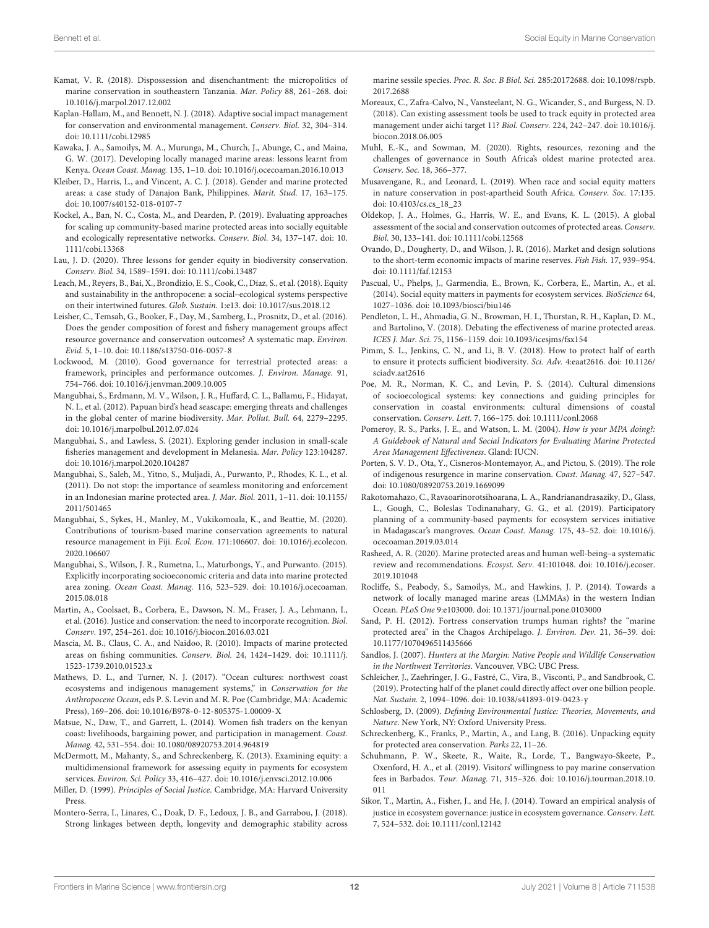- <span id="page-11-26"></span>Kamat, V. R. (2018). Dispossession and disenchantment: the micropolitics of marine conservation in southeastern Tanzania. Mar. Policy 88, 261–268. [doi:](https://doi.org/10.1016/j.marpol.2017.12.002) [10.1016/j.marpol.2017.12.002](https://doi.org/10.1016/j.marpol.2017.12.002)
- <span id="page-11-27"></span>Kaplan-Hallam, M., and Bennett, N. J. (2018). Adaptive social impact management for conservation and environmental management. Conserv. Biol. 32, 304–314. [doi: 10.1111/cobi.12985](https://doi.org/10.1111/cobi.12985)
- <span id="page-11-22"></span>Kawaka, J. A., Samoilys, M. A., Murunga, M., Church, J., Abunge, C., and Maina, G. W. (2017). Developing locally managed marine areas: lessons learnt from Kenya. Ocean Coast. Manag. 135, 1–10. [doi: 10.1016/j.ocecoaman.2016.10.013](https://doi.org/10.1016/j.ocecoaman.2016.10.013)
- <span id="page-11-8"></span>Kleiber, D., Harris, L., and Vincent, A. C. J. (2018). Gender and marine protected areas: a case study of Danajon Bank, Philippines. Marit. Stud. 17, 163–175. [doi: 10.1007/s40152-018-0107-7](https://doi.org/10.1007/s40152-018-0107-7)
- <span id="page-11-28"></span>Kockel, A., Ban, N. C., Costa, M., and Dearden, P. (2019). Evaluating approaches for scaling up community-based marine protected areas into socially equitable and ecologically representative networks. Conserv. Biol. 34, 137–147. [doi: 10.](https://doi.org/10.1111/cobi.13368) [1111/cobi.13368](https://doi.org/10.1111/cobi.13368)
- <span id="page-11-9"></span>Lau, J. D. (2020). Three lessons for gender equity in biodiversity conservation. Conserv. Biol. 34, 1589–1591. [doi: 10.1111/cobi.13487](https://doi.org/10.1111/cobi.13487)
- <span id="page-11-18"></span>Leach, M., Reyers, B., Bai, X., Brondizio, E. S., Cook, C., Díaz, S., et al. (2018). Equity and sustainability in the anthropocene: a social–ecological systems perspective on their intertwined futures. Glob. Sustain. 1:e13. [doi: 10.1017/sus.2018.12](https://doi.org/10.1017/sus.2018.12)
- <span id="page-11-7"></span>Leisher, C., Temsah, G., Booker, F., Day, M., Samberg, L., Prosnitz, D., et al. (2016). Does the gender composition of forest and fishery management groups affect resource governance and conservation outcomes? A systematic map. Environ. Evid. 5, 1–10. [doi: 10.1186/s13750-016-0057-8](https://doi.org/10.1186/s13750-016-0057-8)
- <span id="page-11-17"></span>Lockwood, M. (2010). Good governance for terrestrial protected areas: a framework, principles and performance outcomes. J. Environ. Manage. 91, 754–766. [doi: 10.1016/j.jenvman.2009.10.005](https://doi.org/10.1016/j.jenvman.2009.10.005)
- <span id="page-11-33"></span>Mangubhai, S., Erdmann, M. V., Wilson, J. R., Huffard, C. L., Ballamu, F., Hidayat, N. I., et al. (2012). Papuan bird's head seascape: emerging threats and challenges in the global center of marine biodiversity. Mar. Pollut. Bull. 64, 2279–2295. [doi: 10.1016/j.marpolbul.2012.07.024](https://doi.org/10.1016/j.marpolbul.2012.07.024)
- <span id="page-11-10"></span>Mangubhai, S., and Lawless, S. (2021). Exploring gender inclusion in small-scale fisheries management and development in Melanesia. Mar. Policy 123:104287. [doi: 10.1016/j.marpol.2020.104287](https://doi.org/10.1016/j.marpol.2020.104287)
- <span id="page-11-38"></span>Mangubhai, S., Saleh, M., Yitno, S., Muljadi, A., Purwanto, P., Rhodes, K. L., et al. (2011). Do not stop: the importance of seamless monitoring and enforcement in an Indonesian marine protected area. J. Mar. Biol. 2011, 1–11. [doi: 10.1155/](https://doi.org/10.1155/2011/501465) [2011/501465](https://doi.org/10.1155/2011/501465)
- <span id="page-11-31"></span>Mangubhai, S., Sykes, H., Manley, M., Vukikomoala, K., and Beattie, M. (2020). Contributions of tourism-based marine conservation agreements to natural resource management in Fiji. Ecol. Econ. 171:106607. [doi: 10.1016/j.ecolecon.](https://doi.org/10.1016/j.ecolecon.2020.106607) [2020.106607](https://doi.org/10.1016/j.ecolecon.2020.106607)
- <span id="page-11-29"></span>Mangubhai, S., Wilson, J. R., Rumetna, L., Maturbongs, Y., and Purwanto. (2015). Explicitly incorporating socioeconomic criteria and data into marine protected area zoning. Ocean Coast. Manag. 116, 523–529. [doi: 10.1016/j.ocecoaman.](https://doi.org/10.1016/j.ocecoaman.2015.08.018) [2015.08.018](https://doi.org/10.1016/j.ocecoaman.2015.08.018)
- <span id="page-11-19"></span>Martin, A., Coolsaet, B., Corbera, E., Dawson, N. M., Fraser, J. A., Lehmann, I., et al. (2016). Justice and conservation: the need to incorporate recognition. Biol. Conserv. 197, 254–261. [doi: 10.1016/j.biocon.2016.03.021](https://doi.org/10.1016/j.biocon.2016.03.021)
- <span id="page-11-23"></span>Mascia, M. B., Claus, C. A., and Naidoo, R. (2010). Impacts of marine protected areas on fishing communities. Conserv. Biol. 24, 1424–1429. [doi: 10.1111/j.](https://doi.org/10.1111/j.1523-1739.2010.01523.x) [1523-1739.2010.01523.x](https://doi.org/10.1111/j.1523-1739.2010.01523.x)
- <span id="page-11-32"></span>Mathews, D. L., and Turner, N. J. (2017). "Ocean cultures: northwest coast ecosystems and indigenous management systems," in Conservation for the Anthropocene Ocean, eds P. S. Levin and M. R. Poe (Cambridge, MA: Academic Press), 169–206. [doi: 10.1016/B978-0-12-805375-1.00009-X](https://doi.org/10.1016/B978-0-12-805375-1.00009-X)
- <span id="page-11-21"></span>Matsue, N., Daw, T., and Garrett, L. (2014). Women fish traders on the kenyan coast: livelihoods, bargaining power, and participation in management. Coast. Manag. 42, 531–554. [doi: 10.1080/08920753.2014.964819](https://doi.org/10.1080/08920753.2014.964819)
- <span id="page-11-16"></span>McDermott, M., Mahanty, S., and Schreckenberg, K. (2013). Examining equity: a multidimensional framework for assessing equity in payments for ecosystem services. Environ. Sci. Policy 33, 416–427. [doi: 10.1016/j.envsci.2012.10.006](https://doi.org/10.1016/j.envsci.2012.10.006)
- <span id="page-11-14"></span>Miller, D. (1999). Principles of Social Justice. Cambridge, MA: Harvard University Press.
- <span id="page-11-34"></span>Montero-Serra, I., Linares, C., Doak, D. F., Ledoux, J. B., and Garrabou, J. (2018). Strong linkages between depth, longevity and demographic stability across

marine sessile species. Proc. R. Soc. B Biol. Sci. 285:20172688. [doi: 10.1098/rspb.](https://doi.org/10.1098/rspb.2017.2688) [2017.2688](https://doi.org/10.1098/rspb.2017.2688)

- <span id="page-11-41"></span>Moreaux, C., Zafra-Calvo, N., Vansteelant, N. G., Wicander, S., and Burgess, N. D. (2018). Can existing assessment tools be used to track equity in protected area management under aichi target 11? Biol. Conserv. 224, 242–247. [doi: 10.1016/j.](https://doi.org/10.1016/j.biocon.2018.06.005) [biocon.2018.06.005](https://doi.org/10.1016/j.biocon.2018.06.005)
- <span id="page-11-2"></span>Muhl, E.-K., and Sowman, M. (2020). Rights, resources, rezoning and the challenges of governance in South Africa's oldest marine protected area. Conserv. Soc. 18, 366–377.
- <span id="page-11-1"></span>Musavengane, R., and Leonard, L. (2019). When race and social equity matters in nature conservation in post-apartheid South Africa. Conserv. Soc. 17:135. [doi: 10.4103/cs.cs\\_18\\_23](https://doi.org/10.4103/cs.cs_18_23)
- <span id="page-11-3"></span>Oldekop, J. A., Holmes, G., Harris, W. E., and Evans, K. L. (2015). A global assessment of the social and conservation outcomes of protected areas. Conserv. Biol. 30, 133–141. [doi: 10.1111/cobi.12568](https://doi.org/10.1111/cobi.12568)
- <span id="page-11-25"></span>Ovando, D., Dougherty, D., and Wilson, J. R. (2016). Market and design solutions to the short-term economic impacts of marine reserves. Fish Fish. 17, 939–954. [doi: 10.1111/faf.12153](https://doi.org/10.1111/faf.12153)
- <span id="page-11-5"></span>Pascual, U., Phelps, J., Garmendia, E., Brown, K., Corbera, E., Martin, A., et al. (2014). Social equity matters in payments for ecosystem services. BioScience 64, 1027–1036. [doi: 10.1093/biosci/biu146](https://doi.org/10.1093/biosci/biu146)
- <span id="page-11-35"></span>Pendleton, L. H., Ahmadia, G. N., Browman, H. I., Thurstan, R. H., Kaplan, D. M., and Bartolino, V. (2018). Debating the effectiveness of marine protected areas. ICES J. Mar. Sci. 75, 1156–1159. [doi: 10.1093/icesjms/fsx154](https://doi.org/10.1093/icesjms/fsx154)
- <span id="page-11-11"></span>Pimm, S. L., Jenkins, C. N., and Li, B. V. (2018). How to protect half of earth to ensure it protects sufficient biodiversity. Sci. Adv. 4:eaat2616. [doi: 10.1126/](https://doi.org/10.1126/sciadv.aat2616) [sciadv.aat2616](https://doi.org/10.1126/sciadv.aat2616)
- <span id="page-11-20"></span>Poe, M. R., Norman, K. C., and Levin, P. S. (2014). Cultural dimensions of socioecological systems: key connections and guiding principles for conservation in coastal environments: cultural dimensions of coastal conservation. Conserv. Lett. 7, 166–175. [doi: 10.1111/conl.2068](https://doi.org/10.1111/conl.12068)
- <span id="page-11-37"></span>Pomeroy, R. S., Parks, J. E., and Watson, L. M. (2004). How is your MPA doing?: A Guidebook of Natural and Social Indicators for Evaluating Marine Protected Area Management Effectiveness. Gland: IUCN.
- <span id="page-11-6"></span>Porten, S. V. D., Ota, Y., Cisneros-Montemayor, A., and Pictou, S. (2019). The role of indigenous resurgence in marine conservation. Coast. Manag. 47, 527–547. [doi: 10.1080/08920753.2019.1669099](https://doi.org/10.1080/08920753.2019.1669099)
- <span id="page-11-30"></span>Rakotomahazo, C., Ravaoarinorotsihoarana, L. A., Randrianandrasaziky, D., Glass, L., Gough, C., Boleslas Todinanahary, G. G., et al. (2019). Participatory planning of a community-based payments for ecosystem services initiative in Madagascar's mangroves. Ocean Coast. Manag. 175, 43–52. [doi: 10.1016/j.](https://doi.org/10.1016/j.ocecoaman.2019.03.014) [ocecoaman.2019.03.014](https://doi.org/10.1016/j.ocecoaman.2019.03.014)
- <span id="page-11-24"></span>Rasheed, A. R. (2020). Marine protected areas and human well-being–a systematic review and recommendations. Ecosyst. Serv. 41:101048. [doi: 10.1016/j.ecoser.](https://doi.org/10.1016/j.ecoser.2019.101048) [2019.101048](https://doi.org/10.1016/j.ecoser.2019.101048)
- <span id="page-11-39"></span>Rocliffe, S., Peabody, S., Samoilys, M., and Hawkins, J. P. (2014). Towards a network of locally managed marine areas (LMMAs) in the western Indian Ocean. PLoS One 9:e103000. [doi: 10.1371/journal.pone.0103000](https://doi.org/10.1371/journal.pone.0103000)
- <span id="page-11-36"></span>Sand, P. H. (2012). Fortress conservation trumps human rights? the "marine protected area" in the Chagos Archipelago. J. Environ. Dev. 21, 36–39. [doi:](https://doi.org/10.1177/1070496511435666) [10.1177/1070496511435666](https://doi.org/10.1177/1070496511435666)
- <span id="page-11-0"></span>Sandlos, J. (2007). Hunters at the Margin: Native People and Wildlife Conservation in the Northwest Territories. Vancouver, VBC: UBC Press.
- <span id="page-11-12"></span>Schleicher, J., Zaehringer, J. G., Fastré, C., Vira, B., Visconti, P., and Sandbrook, C. (2019). Protecting half of the planet could directly affect over one billion people. Nat. Sustain. 2, 1094–1096. [doi: 10.1038/s41893-019-0423-y](https://doi.org/10.1038/s41893-019-0423-y)
- <span id="page-11-13"></span>Schlosberg, D. (2009). Defining Environmental Justice: Theories, Movements, and Nature. New York, NY: Oxford University Press.
- <span id="page-11-4"></span>Schreckenberg, K., Franks, P., Martin, A., and Lang, B. (2016). Unpacking equity for protected area conservation. Parks 22, 11–26.
- <span id="page-11-40"></span>Schuhmann, P. W., Skeete, R., Waite, R., Lorde, T., Bangwayo-Skeete, P., Oxenford, H. A., et al. (2019). Visitors' willingness to pay marine conservation fees in Barbados. Tour. Manag. 71, 315–326. [doi: 10.1016/j.tourman.2018.10.](https://doi.org/10.1016/j.tourman.2018.10.011) [011](https://doi.org/10.1016/j.tourman.2018.10.011)
- <span id="page-11-15"></span>Sikor, T., Martin, A., Fisher, J., and He, J. (2014). Toward an empirical analysis of justice in ecosystem governance: justice in ecosystem governance. Conserv. Lett. 7, 524–532. [doi: 10.1111/conl.12142](https://doi.org/10.1111/conl.12142)